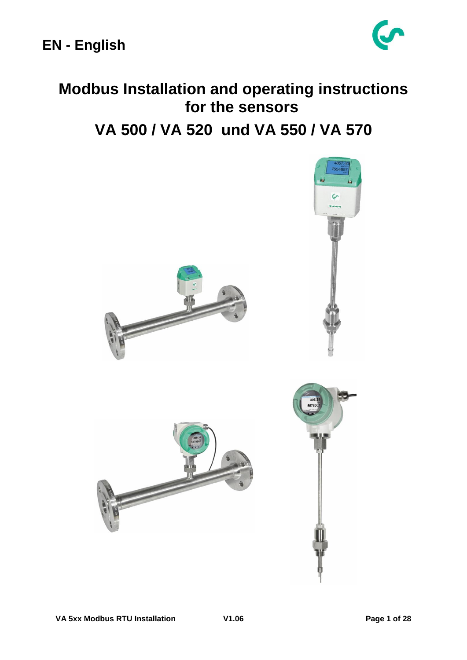

# **Modbus Installation and operating instructions for the sensors VA 500 / VA 520 und VA 550 / VA 570**

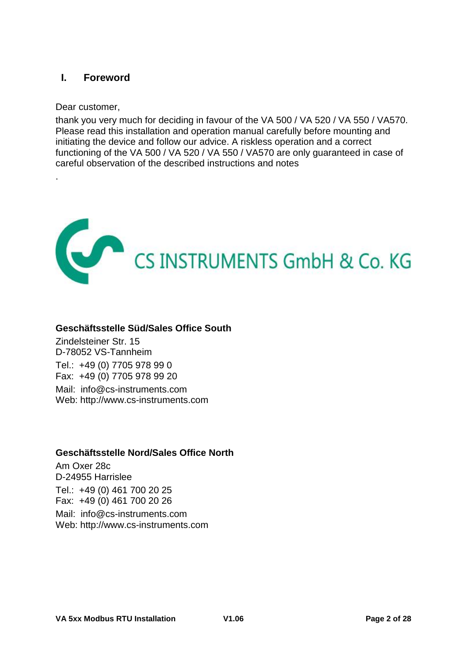### <span id="page-1-0"></span>**I. Foreword**

Dear customer,

.

thank you very much for deciding in favour of the VA 500 / VA 520 / VA 550 / VA570. Please read this installation and operation manual carefully before mounting and initiating the device and follow our advice. A riskless operation and a correct functioning of the VA 500 / VA 520 / VA 550 / VA570 are only guaranteed in case of careful observation of the described instructions and notes



### **Geschäftsstelle Süd/Sales Office South**

Zindelsteiner Str. 15 D-78052 VS-Tannheim Tel.: +49 (0) 7705 978 99 0 Fax: +49 (0) 7705 978 99 20 Mail: info@cs-instruments.com Web: http://www.cs-instruments.com

### **Geschäftsstelle Nord/Sales Office North**

Am Oxer 28c D-24955 Harrislee Tel.: +49 (0) 461 700 20 25 Fax: +49 (0) 461 700 20 26 Mail: info@cs-instruments.com Web: http://www.cs-instruments.com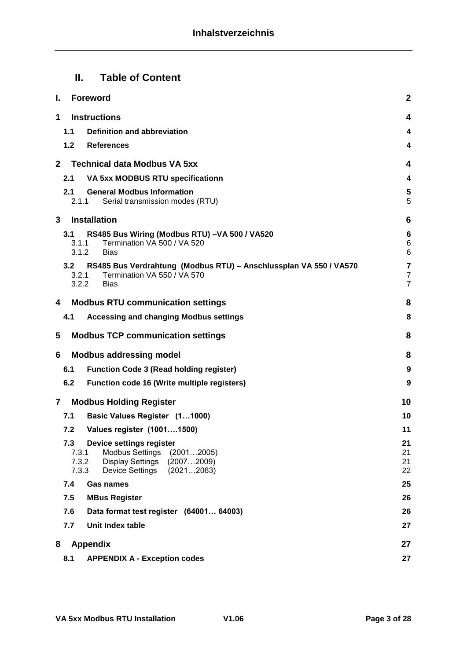## **II. Table of Content**

| I.           |                                | $\mathbf{2}$<br><b>Foreword</b>                                                                                                     |                                                |  |  |  |  |  |  |  |
|--------------|--------------------------------|-------------------------------------------------------------------------------------------------------------------------------------|------------------------------------------------|--|--|--|--|--|--|--|
| 1            |                                | <b>Instructions</b><br>4                                                                                                            |                                                |  |  |  |  |  |  |  |
|              | 1.1                            | Definition and abbreviation                                                                                                         |                                                |  |  |  |  |  |  |  |
|              | 1.2 <sub>2</sub>               | <b>References</b>                                                                                                                   | 4                                              |  |  |  |  |  |  |  |
| $\mathbf{2}$ |                                | <b>Technical data Modbus VA 5xx</b>                                                                                                 | 4                                              |  |  |  |  |  |  |  |
|              | 2.1                            | VA 5xx MODBUS RTU specificationn                                                                                                    | 4                                              |  |  |  |  |  |  |  |
|              | 2.1<br>2.1.1                   | <b>General Modbus Information</b><br>Serial transmission modes (RTU)                                                                | 5<br>5                                         |  |  |  |  |  |  |  |
| 3            |                                | <b>Installation</b>                                                                                                                 | 6                                              |  |  |  |  |  |  |  |
|              | 3.1<br>3.1.1<br>3.1.2          | RS485 Bus Wiring (Modbus RTU) -VA 500 / VA520<br>Termination VA 500 / VA 520<br><b>Bias</b>                                         | 6<br>$\,6$<br>$6\phantom{1}6$                  |  |  |  |  |  |  |  |
|              | 3.2<br>3.2.1<br>3.2.2          | RS485 Bus Verdrahtung (Modbus RTU) - Anschlussplan VA 550 / VA570<br>Termination VA 550 / VA 570<br><b>Bias</b>                     | $\overline{\mathbf{7}}$<br>$\overline{7}$<br>7 |  |  |  |  |  |  |  |
| 4            |                                | <b>Modbus RTU communication settings</b>                                                                                            | 8                                              |  |  |  |  |  |  |  |
|              | 4.1                            | <b>Accessing and changing Modbus settings</b>                                                                                       | 8                                              |  |  |  |  |  |  |  |
| 5            |                                | <b>Modbus TCP communication settings</b>                                                                                            | 8                                              |  |  |  |  |  |  |  |
| 6            |                                | <b>Modbus addressing model</b>                                                                                                      | 8                                              |  |  |  |  |  |  |  |
|              | 6.1                            | <b>Function Code 3 (Read holding register)</b>                                                                                      | 9                                              |  |  |  |  |  |  |  |
|              | 6.2                            | Function code 16 (Write multiple registers)                                                                                         | 9                                              |  |  |  |  |  |  |  |
| $\mathbf{7}$ |                                | <b>Modbus Holding Register</b>                                                                                                      | 10                                             |  |  |  |  |  |  |  |
|              | 7.1                            | Basic Values Register (11000)                                                                                                       | 10                                             |  |  |  |  |  |  |  |
|              | 7.2                            | Values register (10011500)                                                                                                          | 11                                             |  |  |  |  |  |  |  |
|              | 7.3<br>7.3.1<br>7.3.2<br>7.3.3 | Device settings register<br><b>Modbus Settings</b><br>(20012005)<br>Display Settings<br>(20072009)<br>(20212063)<br>Device Settings | 21<br>21<br>21<br>22                           |  |  |  |  |  |  |  |
|              | 7.4                            | Gas names                                                                                                                           | 25                                             |  |  |  |  |  |  |  |
|              | 7.5                            | <b>MBus Register</b>                                                                                                                | 26                                             |  |  |  |  |  |  |  |
|              | 7.6                            | Data format test register (64001 64003)                                                                                             | 26                                             |  |  |  |  |  |  |  |
|              | 7.7                            | Unit Index table                                                                                                                    | 27                                             |  |  |  |  |  |  |  |
| 8            |                                | <b>Appendix</b>                                                                                                                     | 27                                             |  |  |  |  |  |  |  |
|              | 8.1                            | <b>APPENDIX A - Exception codes</b>                                                                                                 | 27                                             |  |  |  |  |  |  |  |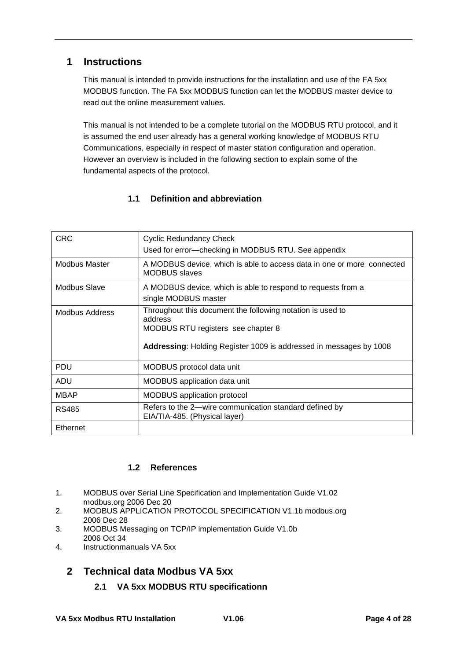### <span id="page-3-0"></span>**1 Instructions**

This manual is intended to provide instructions for the installation and use of the FA 5xx MODBUS function. The FA 5xx MODBUS function can let the MODBUS master device to read out the online measurement values.

This manual is not intended to be a complete tutorial on the MODBUS RTU protocol, and it is assumed the end user already has a general working knowledge of MODBUS RTU Communications, especially in respect of master station configuration and operation. However an overview is included in the following section to explain some of the fundamental aspects of the protocol.

### **1.1 Definition and abbreviation**

<span id="page-3-1"></span>

| <b>CRC</b>     | <b>Cyclic Redundancy Check</b>                                                                              |  |  |  |
|----------------|-------------------------------------------------------------------------------------------------------------|--|--|--|
|                | Used for error-checking in MODBUS RTU. See appendix                                                         |  |  |  |
| Modbus Master  | A MODBUS device, which is able to access data in one or more connected<br><b>MODBUS</b> slaves              |  |  |  |
| Modbus Slave   | A MODBUS device, which is able to respond to requests from a<br>single MODBUS master                        |  |  |  |
| Modbus Address | Throughout this document the following notation is used to<br>address<br>MODBUS RTU registers see chapter 8 |  |  |  |
|                | Addressing: Holding Register 1009 is addressed in messages by 1008                                          |  |  |  |
| <b>PDU</b>     | MODBUS protocol data unit                                                                                   |  |  |  |
| ADU            | MODBUS application data unit                                                                                |  |  |  |
| <b>MBAP</b>    | <b>MODBUS</b> application protocol                                                                          |  |  |  |
| <b>RS485</b>   | Refers to the 2—wire communication standard defined by<br>EIA/TIA-485. (Physical layer)                     |  |  |  |
| Ethernet       |                                                                                                             |  |  |  |

### **1.2 References**

- <span id="page-3-2"></span>1. MODBUS over Serial Line Specification and Implementation Guide V1.02 modbus.org 2006 Dec 20
- 2. MODBUS APPLICATION PROTOCOL SPECIFICATION V1.1b modbus.org 2006 Dec 28
- 3. MODBUS Messaging on TCP/IP implementation Guide V1.0b 2006 Oct 34
- 4. Instructionmanuals VA 5xx

### <span id="page-3-4"></span><span id="page-3-3"></span>**2 Technical data Modbus VA 5xx**

**2.1 VA 5xx MODBUS RTU specificationn**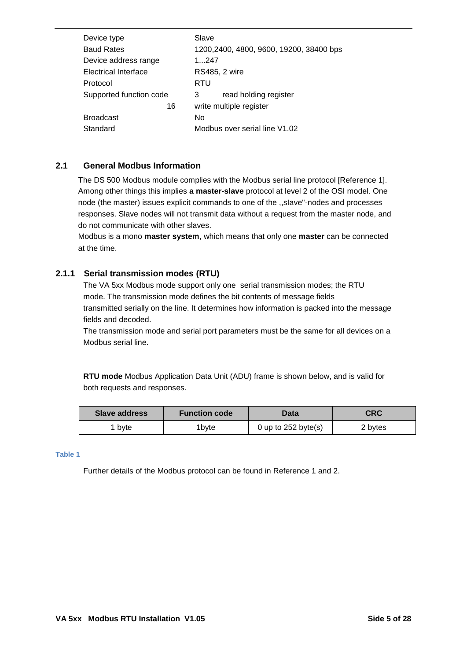| Device type             | Slave                                   |
|-------------------------|-----------------------------------------|
| <b>Baud Rates</b>       | 1200,2400, 4800, 9600, 19200, 38400 bps |
| Device address range    | 1.247                                   |
| Electrical Interface    | <b>RS485, 2 wire</b>                    |
| Protocol                | RTU                                     |
| Supported function code | read holding register<br>3              |
| 16                      | write multiple register                 |
| <b>Broadcast</b>        | No                                      |
| Standard                | Modbus over serial line V1.02           |
|                         |                                         |

#### <span id="page-4-0"></span>**2.1 General Modbus Information**

The DS 500 Modbus module complies with the Modbus serial line protocol [Reference 1]. Among other things this implies **a master-slave** protocol at level 2 of the OSI model. One node (the master) issues explicit commands to one of the ,,sIave"-nodes and processes responses. Slave nodes will not transmit data without a request from the master node, and do not communicate with other slaves.

Modbus is a mono **master system**, which means that only one **master** can be connected at the time.

#### <span id="page-4-1"></span>**2.1.1 Serial transmission modes (RTU)**

The VA 5xx Modbus mode support only one serial transmission modes; the RTU mode. The transmission mode defines the bit contents of message fields transmitted serially on the line. It determines how information is packed into the message fields and decoded.

The transmission mode and serial port parameters must be the same for all devices on a Modbus serial line.

**RTU mode** Modbus Application Data Unit (ADU) frame is shown below, and is valid for both requests and responses.

| Slave address | <b>Function code</b> | Data | CRC     |
|---------------|----------------------|------|---------|
| 1 bvte        | 'bvte                |      | 2 bytes |

#### **Table 1**

Further details of the Modbus protocol can be found in Reference 1 and 2.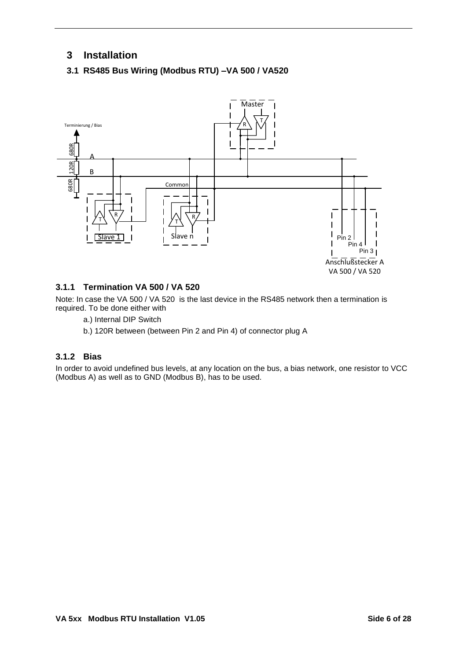### <span id="page-5-0"></span>**3 Installation**

### <span id="page-5-1"></span>**3.1 RS485 Bus Wiring (Modbus RTU) –VA 500 / VA520**



#### <span id="page-5-2"></span>**3.1.1 Termination VA 500 / VA 520**

Note: In case the VA 500 / VA 520 is the last device in the RS485 network then a termination is required. To be done either with

- a.) Internal DIP Switch
- b.) 120R between (between Pin 2 and Pin 4) of connector plug A

#### <span id="page-5-3"></span>**3.1.2 Bias**

In order to avoid undefined bus levels, at any location on the bus, a bias network, one resistor to VCC (Modbus A) as well as to GND (Modbus B), has to be used.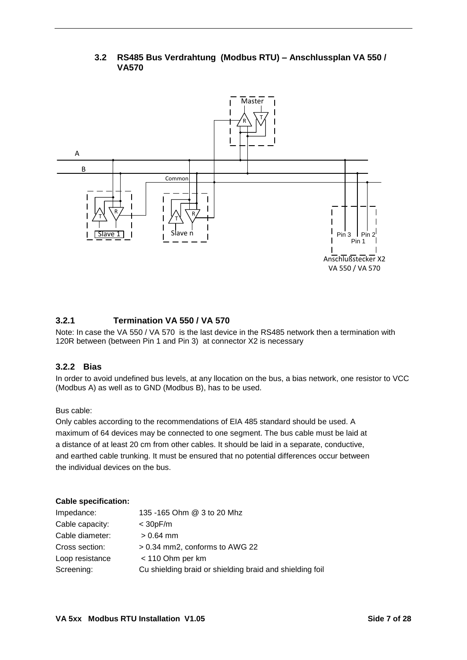<span id="page-6-0"></span>

### **3.2 RS485 Bus Verdrahtung (Modbus RTU) – Anschlussplan VA 550 / VA570**

#### <span id="page-6-1"></span>**3.2.1 Termination VA 550 / VA 570**

Note: In case the VA 550 / VA 570 is the last device in the RS485 network then a termination with 120R between (between Pin 1 and Pin 3) at connector X2 is necessary

#### <span id="page-6-2"></span>**3.2.2 Bias**

In order to avoid undefined bus levels, at any llocation on the bus, a bias network, one resistor to VCC (Modbus A) as well as to GND (Modbus B), has to be used.

#### Bus cable:

Only cables according to the recommendations of EIA 485 standard should be used. A maximum of 64 devices may be connected to one segment. The bus cable must be laid at a distance of at least 20 cm from other cables. It should be laid in a separate, conductive, and earthed cable trunking. It must be ensured that no potential differences occur between the individual devices on the bus.

#### **Cable specification:**

| Impedance:      | 135 -165 Ohm @ 3 to 20 Mhz                               |
|-----------------|----------------------------------------------------------|
| Cable capacity: | $<$ 30pF/m                                               |
| Cable diameter: | $> 0.64$ mm                                              |
| Cross section:  | > 0.34 mm2, conforms to AWG 22                           |
| Loop resistance | < 110 Ohm per km                                         |
| Screening:      | Cu shielding braid or shielding braid and shielding foil |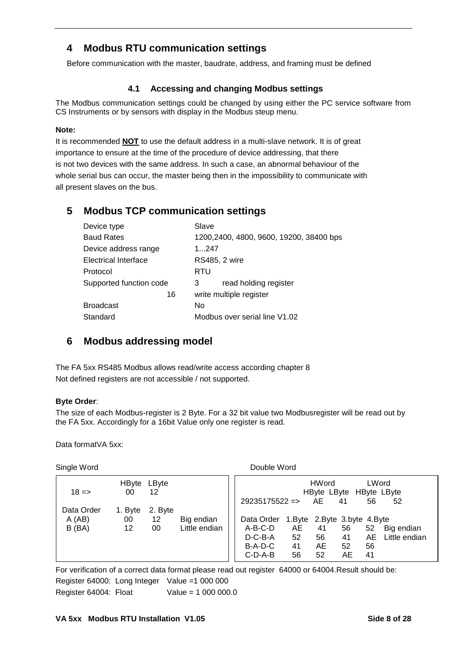### <span id="page-7-0"></span>**4 Modbus RTU communication settings**

Before communication with the master, baudrate, address, and framing must be defined

#### **4.1 Accessing and changing Modbus settings**

<span id="page-7-1"></span>The Modbus communication settings could be changed by using either the PC service software from CS Instruments or by sensors with display in the Modbus steup menu.

#### **Note:**

It is recommended **NOT** to use the default address in a multi-slave network. It is of great importance to ensure at the time of the procedure of device addressing, that there is not two devices with the same address. In such a case, an abnormal behaviour of the whole serial bus can occur, the master being then in the impossibility to communicate with all present slaves on the bus.

### <span id="page-7-2"></span>**5 Modbus TCP communication settings**

| Device type             | Slave                                   |  |  |  |  |
|-------------------------|-----------------------------------------|--|--|--|--|
| <b>Baud Rates</b>       | 1200,2400, 4800, 9600, 19200, 38400 bps |  |  |  |  |
| Device address range    | 1247                                    |  |  |  |  |
| Electrical Interface    | <b>RS485, 2 wire</b>                    |  |  |  |  |
| Protocol                | RTU                                     |  |  |  |  |
| Supported function code | read holding register<br>3              |  |  |  |  |
| 16                      | write multiple register                 |  |  |  |  |
| <b>Broadcast</b>        | No                                      |  |  |  |  |
| Standard                | Modbus over serial line V1.02           |  |  |  |  |

### <span id="page-7-3"></span>**6 Modbus addressing model**

The FA 5xx RS485 Modbus allows read/write access according chapter 8 Not defined registers are not accessible / not supported.

#### **Byte Order**:

The size of each Modbus-register is 2 Byte. For a 32 bit value two Modbusregister will be read out by the FA 5xx. Accordingly for a 16bit Value only one register is read.

Data formatVA 5xx:

Single Word **Double Word** 

 HByte LByte  $18 \Rightarrow 00 \quad 12$ Data Order 1. Byte 2. Byte A (AB) 00 12 Big endian B (BA) 12 00 Little endian HWord LWord HByte LByte HByte LByte 29235175522 => AE 41 56 52 Data Order 1.Byte 2.Byte 3.byte 4.Byte A-B-C-D AE 41 56 52 Big endian D-C-B-A 52 56 41 AE Little endian B-A-D-C 41 AE 52 56 C-D-A-B 56 52 AE 41

For verification of a correct data format please read out register 64000 or 64004.Result should be: Register 64000: Long Integer Value =1 000 000 Register 64004: Float Value = 1 000 000.0

#### **VA 5xx Modbus RTU Installation V1.05 Side 8 of 28**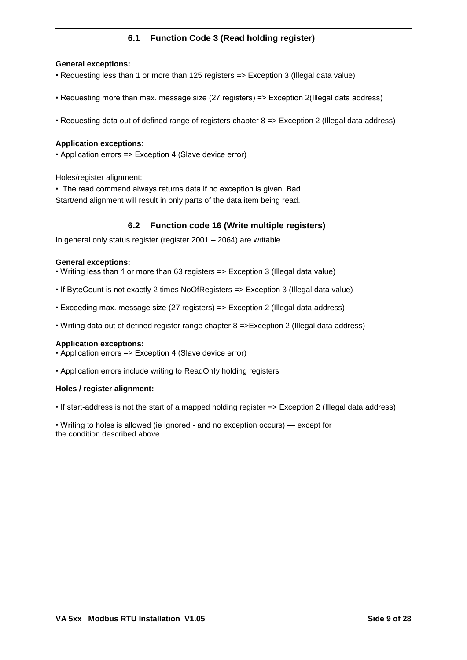### **6.1 Function Code 3 (Read holding register)**

#### <span id="page-8-0"></span>**General exceptions:**

- Requesting less than 1 or more than 125 registers => Exception 3 (Illegal data value)
- Requesting more than max. message size (27 registers) => Exception 2(Illegal data address)
- Requesting data out of defined range of registers chapter 8 => Exception 2 (Illegal data address)

#### **Application exceptions**:

• Application errors => Exception 4 (Slave device error)

Holes/register alignment:

• The read command always returns data if no exception is given. Bad Start/end alignment will result in only parts of the data item being read.

#### **6.2 Function code 16 (Write multiple registers)**

<span id="page-8-1"></span>In general only status register (register 2001 – 2064) are writable.

#### **General exceptions:**

• Writing less than 1 or more than 63 registers => Exception 3 (Illegal data value)

- If ByteCount is not exactly 2 times NoOfRegisters => Exception 3 (Illegal data value)
- Exceeding max. message size (27 registers) => Exception 2 (Illegal data address)
- Writing data out of defined register range chapter 8 =>Exception 2 (Illegal data address)

#### **Application exceptions:**

• Application errors => Exception 4 (Slave device error)

• Application errors include writing to ReadOnIy holding registers

#### **Holes / register alignment:**

• If start-address is not the start of a mapped holding register => Exception 2 (Illegal data address)

• Writing to holes is allowed (ie ignored - and no exception occurs) — except for the condition described above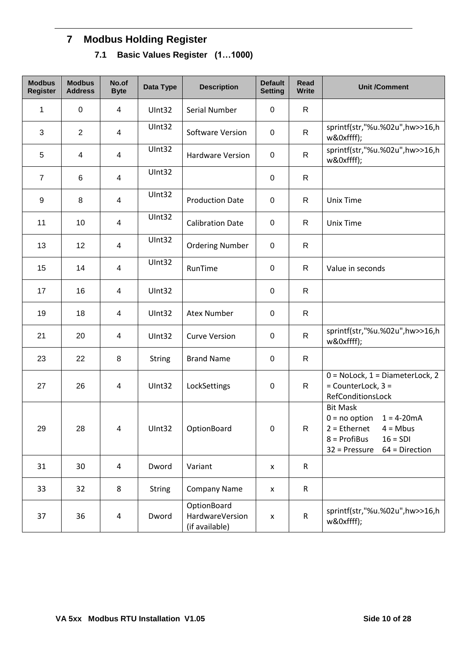## <span id="page-9-1"></span><span id="page-9-0"></span>**7 Modbus Holding Register**

**7.1 Basic Values Register (1…1000)**

| <b>Modbus</b><br><b>Register</b> | <b>Modbus</b><br><b>Address</b> | No.of<br><b>Byte</b>     | Data Type     | <b>Description</b>                               | <b>Default</b><br><b>Setting</b> | <b>Read</b><br><b>Write</b> | <b>Unit /Comment</b>                                                                                                                                   |
|----------------------------------|---------------------------------|--------------------------|---------------|--------------------------------------------------|----------------------------------|-----------------------------|--------------------------------------------------------------------------------------------------------------------------------------------------------|
| 1                                | $\mathbf 0$                     | $\overline{4}$           | UInt32        | Serial Number                                    | 0                                | $\mathsf{R}$                |                                                                                                                                                        |
| 3                                | $\overline{2}$                  | $\overline{\mathcal{A}}$ | UInt32        | Software Version                                 | $\pmb{0}$                        | R                           | sprintf(str,"%u.%02u",hw>>16,h<br>w&0xffff);                                                                                                           |
| 5                                | 4                               | $\overline{\mathbf{4}}$  | UInt32        | <b>Hardware Version</b>                          | $\mathbf 0$                      | R                           | sprintf(str,"%u.%02u",hw>>16,h<br>w&0xffff);                                                                                                           |
| $\overline{7}$                   | 6                               | $\overline{\mathbf{4}}$  | UInt32        |                                                  | $\mathbf 0$                      | $\mathsf{R}$                |                                                                                                                                                        |
| 9                                | 8                               | $\overline{\mathbf{4}}$  | UInt32        | <b>Production Date</b>                           | $\mathbf 0$                      | R                           | <b>Unix Time</b>                                                                                                                                       |
| 11                               | 10                              | $\overline{\mathbf{4}}$  | UInt32        | <b>Calibration Date</b>                          | $\mathbf 0$                      | R                           | <b>Unix Time</b>                                                                                                                                       |
| 13                               | 12                              | $\overline{\mathbf{4}}$  | UInt32        | <b>Ordering Number</b>                           | $\mathbf 0$                      | $\mathsf{R}$                |                                                                                                                                                        |
| 15                               | 14                              | $\overline{\mathbf{4}}$  | UInt32        | RunTime                                          | 0                                | R                           | Value in seconds                                                                                                                                       |
| 17                               | 16                              | $\overline{\mathbf{4}}$  | UInt32        |                                                  | 0                                | R                           |                                                                                                                                                        |
| 19                               | 18                              | $\overline{\mathbf{4}}$  | UInt32        | <b>Atex Number</b>                               | $\mathbf 0$                      | $\mathsf{R}$                |                                                                                                                                                        |
| 21                               | 20                              | $\overline{\mathbf{4}}$  | UInt32        | <b>Curve Version</b>                             | $\mathbf 0$                      | $\mathsf{R}$                | sprintf(str,"%u.%02u",hw>>16,h<br>w&0xffff);                                                                                                           |
| 23                               | 22                              | 8                        | <b>String</b> | <b>Brand Name</b>                                | $\mathbf 0$                      | $\mathsf{R}$                |                                                                                                                                                        |
| 27                               | 26                              | $\overline{\mathcal{A}}$ | UInt32        | LockSettings                                     | $\pmb{0}$                        | $\mathsf{R}$                | $0 = \text{Nolock}, 1 = \text{DiameterLock}, 2$<br>= CounterLock, 3 =<br>RefConditionsLock                                                             |
| 29                               | 28                              | $\overline{4}$           | UInt32        | OptionBoard                                      | 0                                | $\mathsf{R}$                | <b>Bit Mask</b><br>$0 = no$ option<br>$1 = 4 - 20mA$<br>$2 = Ethernet$ 4 = Mbus<br>$8 = Profibus$<br>$16 = SDI$<br>$32$ = Pressure<br>$64$ = Direction |
| 31                               | 30                              | 4                        | Dword         | Variant                                          | $\pmb{\mathsf{X}}$               | $\mathsf R$                 |                                                                                                                                                        |
| 33                               | 32                              | 8                        | <b>String</b> | <b>Company Name</b>                              | $\pmb{\mathsf{X}}$               | $\mathsf R$                 |                                                                                                                                                        |
| 37                               | 36                              | $\pmb{4}$                | Dword         | OptionBoard<br>HardwareVersion<br>(if available) | X                                | $\mathsf R$                 | sprintf(str,"%u.%02u",hw>>16,h<br>w&0xffff);                                                                                                           |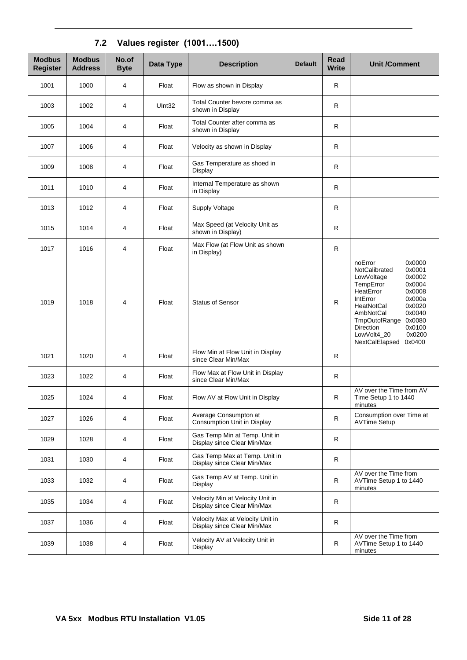<span id="page-10-0"></span>

| <b>Modbus</b><br><b>Register</b> | <b>Modbus</b><br><b>Address</b> | No.of<br><b>Byte</b> | Data Type | <b>Description</b>                                              | <b>Default</b> | Read<br><b>Write</b> | <b>Unit /Comment</b>                                                                                                                                                                                                                                                                                         |
|----------------------------------|---------------------------------|----------------------|-----------|-----------------------------------------------------------------|----------------|----------------------|--------------------------------------------------------------------------------------------------------------------------------------------------------------------------------------------------------------------------------------------------------------------------------------------------------------|
| 1001                             | 1000                            | 4                    | Float     | Flow as shown in Display                                        |                | R                    |                                                                                                                                                                                                                                                                                                              |
| 1003                             | 1002                            | 4                    | UInt32    | Total Counter bevore comma as<br>shown in Display               |                | $\mathsf{R}$         |                                                                                                                                                                                                                                                                                                              |
| 1005                             | 1004                            | 4                    | Float     | Total Counter after comma as<br>shown in Display                |                | ${\sf R}$            |                                                                                                                                                                                                                                                                                                              |
| 1007                             | 1006                            | 4                    | Float     | Velocity as shown in Display                                    |                | R                    |                                                                                                                                                                                                                                                                                                              |
| 1009                             | 1008                            | 4                    | Float     | Gas Temperature as shoed in<br>Display                          |                | $\mathsf{R}$         |                                                                                                                                                                                                                                                                                                              |
| 1011                             | 1010                            | 4                    | Float     | Internal Temperature as shown<br>in Display                     |                | R                    |                                                                                                                                                                                                                                                                                                              |
| 1013                             | 1012                            | 4                    | Float     | Supply Voltage                                                  |                | R                    |                                                                                                                                                                                                                                                                                                              |
| 1015                             | 1014                            | 4                    | Float     | Max Speed (at Velocity Unit as<br>shown in Display)             |                | $\mathsf{R}$         |                                                                                                                                                                                                                                                                                                              |
| 1017                             | 1016                            | 4                    | Float     | Max Flow (at Flow Unit as shown<br>in Display)                  |                | $\mathsf R$          |                                                                                                                                                                                                                                                                                                              |
| 1019                             | 1018                            | 4                    | Float     | <b>Status of Sensor</b>                                         |                | $\mathsf R$          | noError<br>0x0000<br>0x0001<br>NotCalibrated<br>LowVoltage<br>0x0002<br>0x0004<br>TempError<br>0x0008<br>HeatError<br>0x000a<br>IntError<br>0x0020<br><b>HeatNotCal</b><br>0x0040<br>AmbNotCal<br><b>TmpOutofRange</b><br>0x0080<br>Direction<br>0x0100<br>0x0200<br>LowVolt4_20<br>NextCalElapsed<br>0x0400 |
| 1021                             | 1020                            | 4                    | Float     | Flow Min at Flow Unit in Display<br>since Clear Min/Max         |                | R                    |                                                                                                                                                                                                                                                                                                              |
| 1023                             | 1022                            | 4                    | Float     | Flow Max at Flow Unit in Display<br>since Clear Min/Max         |                | R                    |                                                                                                                                                                                                                                                                                                              |
| 1025                             | 1024                            | 4                    | Float     | Flow AV at Flow Unit in Display                                 |                | R                    | AV over the Time from AV<br>Time Setup 1 to 1440<br>minutes                                                                                                                                                                                                                                                  |
| 1027                             | 1026                            | 4                    | Float     | Average Consumpton at<br>Consumption Unit in Display            |                | R                    | Consumption over Time at<br><b>AVTime Setup</b>                                                                                                                                                                                                                                                              |
| 1029                             | 1028                            | 4                    | Float     | Gas Temp Min at Temp. Unit in<br>Display since Clear Min/Max    |                | R                    |                                                                                                                                                                                                                                                                                                              |
| 1031                             | 1030                            | 4                    | Float     | Gas Temp Max at Temp. Unit in<br>Display since Clear Min/Max    |                | $\mathsf R$          |                                                                                                                                                                                                                                                                                                              |
| 1033                             | 1032                            | 4                    | Float     | Gas Temp AV at Temp. Unit in<br>Display                         |                | R                    | AV over the Time from<br>AVTime Setup 1 to 1440<br>minutes                                                                                                                                                                                                                                                   |
| 1035                             | 1034                            | 4                    | Float     | Velocity Min at Velocity Unit in<br>Display since Clear Min/Max |                | R                    |                                                                                                                                                                                                                                                                                                              |
| 1037                             | 1036                            | 4                    | Float     | Velocity Max at Velocity Unit in<br>Display since Clear Min/Max |                | R                    |                                                                                                                                                                                                                                                                                                              |
| 1039                             | 1038                            | 4                    | Float     | Velocity AV at Velocity Unit in<br>Display                      |                | R                    | AV over the Time from<br>AVTime Setup 1 to 1440<br>minutes                                                                                                                                                                                                                                                   |

## **7.2 Values register (1001….1500)**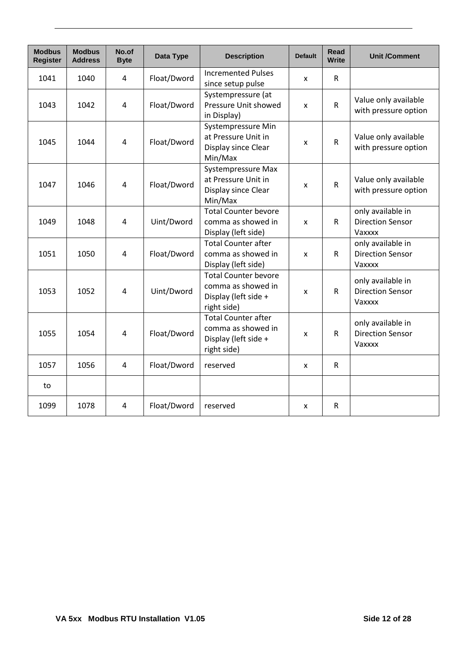| <b>Modbus</b><br><b>Register</b> | <b>Modbus</b><br><b>Address</b> | No.of<br><b>Byte</b> | Data Type   | <b>Description</b>                                                                       | <b>Default</b> | Read<br><b>Write</b> | <b>Unit /Comment</b>                                   |
|----------------------------------|---------------------------------|----------------------|-------------|------------------------------------------------------------------------------------------|----------------|----------------------|--------------------------------------------------------|
| 1041                             | 1040                            | 4                    | Float/Dword | <b>Incremented Pulses</b><br>since setup pulse                                           | X              | $\mathsf{R}$         |                                                        |
| 1043                             | 1042                            | 4                    | Float/Dword | Systempressure (at<br>Pressure Unit showed<br>in Display)                                | X              | $\mathsf{R}$         | Value only available<br>with pressure option           |
| 1045                             | 1044                            | 4                    | Float/Dword | Systempressure Min<br>at Pressure Unit in<br>Display since Clear<br>Min/Max              | X              | ${\sf R}$            | Value only available<br>with pressure option           |
| 1047                             | 1046                            | $\overline{4}$       | Float/Dword | Systempressure Max<br>at Pressure Unit in<br>Display since Clear<br>Min/Max              | x              | ${\sf R}$            | Value only available<br>with pressure option           |
| 1049                             | 1048                            | 4                    | Uint/Dword  | <b>Total Counter bevore</b><br>comma as showed in<br>Display (left side)                 | x              | R                    | only available in<br><b>Direction Sensor</b><br>Vaxxxx |
| 1051                             | 1050                            | $\overline{4}$       | Float/Dword | <b>Total Counter after</b><br>comma as showed in<br>Display (left side)                  | X              | $\mathsf{R}$         | only available in<br><b>Direction Sensor</b><br>Vaxxxx |
| 1053                             | 1052                            | $\overline{4}$       | Uint/Dword  | <b>Total Counter bevore</b><br>comma as showed in<br>Display (left side +<br>right side) | X              | R                    | only available in<br><b>Direction Sensor</b><br>Vaxxxx |
| 1055                             | 1054                            | 4                    | Float/Dword | <b>Total Counter after</b><br>comma as showed in<br>Display (left side +<br>right side)  | X              | $\mathsf{R}$         | only available in<br><b>Direction Sensor</b><br>Vaxxxx |
| 1057                             | 1056                            | $\overline{4}$       | Float/Dword | reserved                                                                                 | X              | R                    |                                                        |
| to                               |                                 |                      |             |                                                                                          |                |                      |                                                        |
| 1099                             | 1078                            | $\overline{4}$       | Float/Dword | reserved                                                                                 | X              | R                    |                                                        |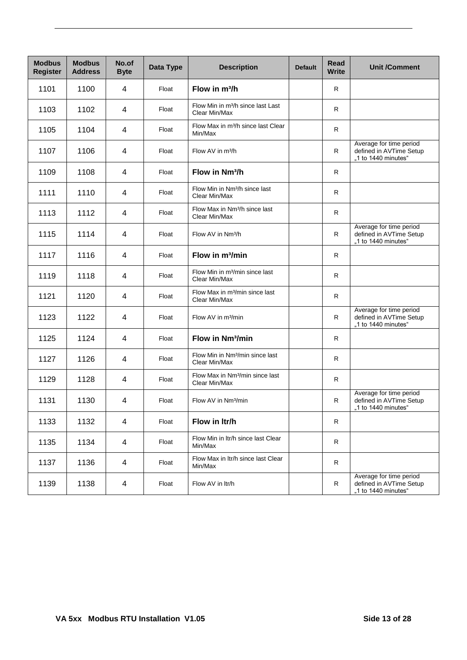| <b>Modbus</b><br><b>Register</b> | <b>Modbus</b><br><b>Address</b> | No.of<br><b>Byte</b> | Data Type | <b>Description</b>                                             | <b>Default</b> | <b>Read</b><br><b>Write</b> | <b>Unit /Comment</b>                                                      |
|----------------------------------|---------------------------------|----------------------|-----------|----------------------------------------------------------------|----------------|-----------------------------|---------------------------------------------------------------------------|
| 1101                             | 1100                            | 4                    | Float     | Flow in m <sup>3</sup> /h                                      |                | R                           |                                                                           |
| 1103                             | 1102                            | 4                    | Float     | Flow Min in m <sup>3</sup> /h since last Last<br>Clear Min/Max |                | $\mathsf{R}$                |                                                                           |
| 1105                             | 1104                            | 4                    | Float     | Flow Max in m <sup>3</sup> /h since last Clear<br>Min/Max      |                | R.                          |                                                                           |
| 1107                             | 1106                            | 4                    | Float     | Flow AV in m <sup>3</sup> /h                                   |                | R                           | Average for time period<br>defined in AVTime Setup<br>"1 to 1440 minutes" |
| 1109                             | 1108                            | 4                    | Float     | Flow in Nm <sup>3</sup> /h                                     |                | R.                          |                                                                           |
| 1111                             | 1110                            | $\overline{4}$       | Float     | Flow Min in Nm <sup>3</sup> /h since last<br>Clear Min/Max     |                | R                           |                                                                           |
| 1113                             | 1112                            | 4                    | Float     | Flow Max in Nm <sup>3</sup> /h since last<br>Clear Min/Max     |                | $\mathsf{R}$                |                                                                           |
| 1115                             | 1114                            | 4                    | Float     | Flow AV in Nm <sup>3</sup> /h                                  |                | R.                          | Average for time period<br>defined in AVTime Setup<br>"1 to 1440 minutes" |
| 1117                             | 1116                            | 4                    | Float     | Flow in m <sup>3</sup> /min                                    |                | R                           |                                                                           |
| 1119                             | 1118                            | 4                    | Float     | Flow Min in m <sup>3</sup> /min since last<br>Clear Min/Max    |                | R.                          |                                                                           |
| 1121                             | 1120                            | 4                    | Float     | Flow Max in m <sup>3</sup> /min since last<br>Clear Min/Max    |                | R                           |                                                                           |
| 1123                             | 1122                            | 4                    | Float     | Flow AV in m <sup>3</sup> /min                                 |                | $\mathsf{R}$                | Average for time period<br>defined in AVTime Setup<br>"1 to 1440 minutes" |
| 1125                             | 1124                            | $\overline{4}$       | Float     | Flow in Nm <sup>3</sup> /min                                   |                | $\mathsf{R}$                |                                                                           |
| 1127                             | 1126                            | 4                    | Float     | Flow Min in Nm <sup>3</sup> /min since last<br>Clear Min/Max   |                | R                           |                                                                           |
| 1129                             | 1128                            | 4                    | Float     | Flow Max in Nm <sup>3</sup> /min since last<br>Clear Min/Max   |                | R                           |                                                                           |
| 1131                             | 1130                            | 4                    | Float     | Flow AV in Nm <sup>3</sup> /min                                |                | R                           | Average for time period<br>defined in AVTime Setup<br>"1 to 1440 minutes" |
| 1133                             | 1132                            | $\overline{4}$       | Float     | Flow in Itr/h                                                  |                | R                           |                                                                           |
| 1135                             | 1134                            | 4                    | Float     | Flow Min in Itr/h since last Clear<br>Min/Max                  |                | R                           |                                                                           |
| 1137                             | 1136                            | 4                    | Float     | Flow Max in Itr/h since last Clear<br>Min/Max                  |                | R                           |                                                                           |
| 1139                             | 1138                            | 4                    | Float     | Flow AV in ltr/h                                               |                | $\mathsf{R}$                | Average for time period<br>defined in AVTime Setup<br>"1 to 1440 minutes" |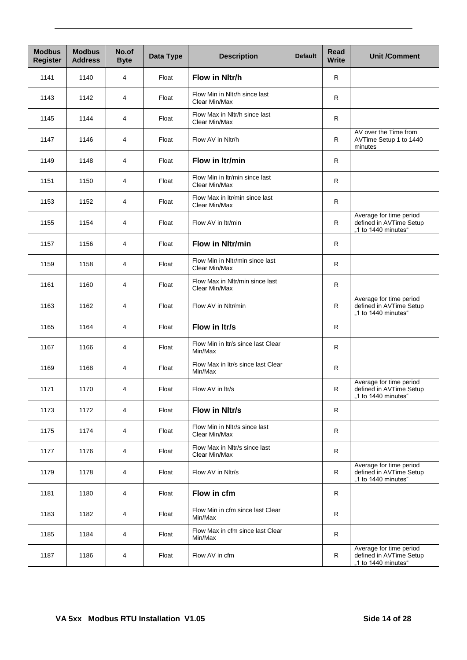| <b>Modbus</b><br><b>Register</b> | <b>Modbus</b><br><b>Address</b> | No.of<br><b>Byte</b> | Data Type | <b>Description</b>                               | <b>Default</b> | Read<br><b>Write</b> | <b>Unit /Comment</b>                                                      |
|----------------------------------|---------------------------------|----------------------|-----------|--------------------------------------------------|----------------|----------------------|---------------------------------------------------------------------------|
| 1141                             | 1140                            | 4                    | Float     | Flow in Nltr/h                                   |                | $\mathsf{R}$         |                                                                           |
| 1143                             | 1142                            | 4                    | Float     | Flow Min in Nltr/h since last<br>Clear Min/Max   |                | $\mathsf{R}$         |                                                                           |
| 1145                             | 1144                            | 4                    | Float     | Flow Max in Nltr/h since last<br>Clear Min/Max   |                | R                    |                                                                           |
| 1147                             | 1146                            | 4                    | Float     | Flow AV in Nltr/h                                |                | R                    | AV over the Time from<br>AVTime Setup 1 to 1440<br>minutes                |
| 1149                             | 1148                            | 4                    | Float     | Flow in Itr/min                                  |                | R                    |                                                                           |
| 1151                             | 1150                            | 4                    | Float     | Flow Min in Itr/min since last<br>Clear Min/Max  |                | $\mathsf{R}$         |                                                                           |
| 1153                             | 1152                            | 4                    | Float     | Flow Max in Itr/min since last<br>Clear Min/Max  |                | $\mathsf{R}$         |                                                                           |
| 1155                             | 1154                            | 4                    | Float     | Flow AV in Itr/min                               |                | R                    | Average for time period<br>defined in AVTime Setup<br>"1 to 1440 minutes" |
| 1157                             | 1156                            | 4                    | Float     | <b>Flow in Nitr/min</b>                          |                | R                    |                                                                           |
| 1159                             | 1158                            | 4                    | Float     | Flow Min in Nltr/min since last<br>Clear Min/Max |                | R                    |                                                                           |
| 1161                             | 1160                            | 4                    | Float     | Flow Max in Nltr/min since last<br>Clear Min/Max |                | $\mathsf{R}$         |                                                                           |
| 1163                             | 1162                            | 4                    | Float     | Flow AV in Nltr/min                              |                | $\mathsf{R}$         | Average for time period<br>defined in AVTime Setup<br>"1 to 1440 minutes" |
| 1165                             | 1164                            | 4                    | Float     | Flow in Itr/s                                    |                | $\mathsf{R}$         |                                                                           |
| 1167                             | 1166                            | 4                    | Float     | Flow Min in Itr/s since last Clear<br>Min/Max    |                | R                    |                                                                           |
| 1169                             | 1168                            | 4                    | Float     | Flow Max in Itr/s since last Clear<br>Min/Max    |                | $\mathsf{R}$         |                                                                           |
| 1171                             | 1170                            | 4                    | Float     | Flow AV in Itr/s                                 |                | $\mathsf{R}$         | Average for time period<br>defined in AVTime Setup<br>"1 to 1440 minutes" |
| 1173                             | 1172                            | 4                    | Float     | Flow in Nitr/s                                   |                | R                    |                                                                           |
| 1175                             | 1174                            | 4                    | Float     | Flow Min in Nltr/s since last<br>Clear Min/Max   |                | $\mathsf{R}$         |                                                                           |
| 1177                             | 1176                            | 4                    | Float     | Flow Max in Nltr/s since last<br>Clear Min/Max   |                | $\mathsf R$          |                                                                           |
| 1179                             | 1178                            | 4                    | Float     | Flow AV in Nltr/s                                |                | R                    | Average for time period<br>defined in AVTime Setup<br>"1 to 1440 minutes" |
| 1181                             | 1180                            | 4                    | Float     | Flow in cfm                                      |                | $\mathsf{R}$         |                                                                           |
| 1183                             | 1182                            | 4                    | Float     | Flow Min in cfm since last Clear<br>Min/Max      |                | $\mathsf{R}$         |                                                                           |
| 1185                             | 1184                            | 4                    | Float     | Flow Max in cfm since last Clear<br>Min/Max      |                | R                    |                                                                           |
| 1187                             | 1186                            | 4                    | Float     | Flow AV in cfm                                   |                | R                    | Average for time period<br>defined in AVTime Setup<br>"1 to 1440 minutes" |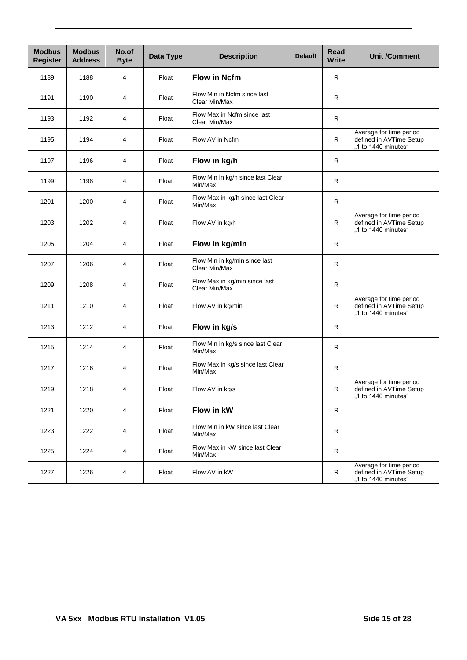| <b>Modbus</b><br><b>Register</b> | <b>Modbus</b><br><b>Address</b> | No.of<br><b>Byte</b> | Data Type | <b>Description</b>                             | <b>Default</b> | Read<br><b>Write</b> | <b>Unit /Comment</b>                                                      |
|----------------------------------|---------------------------------|----------------------|-----------|------------------------------------------------|----------------|----------------------|---------------------------------------------------------------------------|
| 1189                             | 1188                            | 4                    | Float     | <b>Flow in Ncfm</b>                            |                | $\mathsf{R}$         |                                                                           |
| 1191                             | 1190                            | 4                    | Float     | Flow Min in Ncfm since last<br>Clear Min/Max   |                | $\mathsf{R}$         |                                                                           |
| 1193                             | 1192                            | 4                    | Float     | Flow Max in Ncfm since last<br>Clear Min/Max   |                | R                    |                                                                           |
| 1195                             | 1194                            | 4                    | Float     | Flow AV in Ncfm                                |                | R                    | Average for time period<br>defined in AVTime Setup<br>"1 to 1440 minutes" |
| 1197                             | 1196                            | 4                    | Float     | Flow in kg/h                                   |                | R                    |                                                                           |
| 1199                             | 1198                            | 4                    | Float     | Flow Min in kg/h since last Clear<br>Min/Max   |                | R                    |                                                                           |
| 1201                             | 1200                            | 4                    | Float     | Flow Max in kg/h since last Clear<br>Min/Max   |                | $\mathsf{R}$         |                                                                           |
| 1203                             | 1202                            | 4                    | Float     | Flow AV in kg/h                                |                | R                    | Average for time period<br>defined in AVTime Setup<br>"1 to 1440 minutes" |
| 1205                             | 1204                            | 4                    | Float     | Flow in kg/min                                 |                | R.                   |                                                                           |
| 1207                             | 1206                            | 4                    | Float     | Flow Min in kg/min since last<br>Clear Min/Max |                | R                    |                                                                           |
| 1209                             | 1208                            | 4                    | Float     | Flow Max in kg/min since last<br>Clear Min/Max |                | $\mathsf{R}$         |                                                                           |
| 1211                             | 1210                            | 4                    | Float     | Flow AV in kg/min                              |                | R                    | Average for time period<br>defined in AVTime Setup<br>"1 to 1440 minutes" |
| 1213                             | 1212                            | 4                    | Float     | Flow in kg/s                                   |                | R                    |                                                                           |
| 1215                             | 1214                            | 4                    | Float     | Flow Min in kg/s since last Clear<br>Min/Max   |                | R.                   |                                                                           |
| 1217                             | 1216                            | 4                    | Float     | Flow Max in kg/s since last Clear<br>Min/Max   |                | R                    |                                                                           |
| 1219                             | 1218                            | 4                    | Float     | Flow AV in kg/s                                |                | $\mathsf{R}$         | Average for time period<br>defined in AVTime Setup<br>"1 to 1440 minutes" |
| 1221                             | 1220                            | 4                    | Float     | Flow in kW                                     |                | R                    |                                                                           |
| 1223                             | 1222                            | 4                    | Float     | Flow Min in kW since last Clear<br>Min/Max     |                | $\mathsf{R}$         |                                                                           |
| 1225                             | 1224                            | 4                    | Float     | Flow Max in kW since last Clear<br>Min/Max     |                | R                    |                                                                           |
| 1227                             | 1226                            | 4                    | Float     | Flow AV in kW                                  |                | R                    | Average for time period<br>defined in AVTime Setup<br>"1 to 1440 minutes" |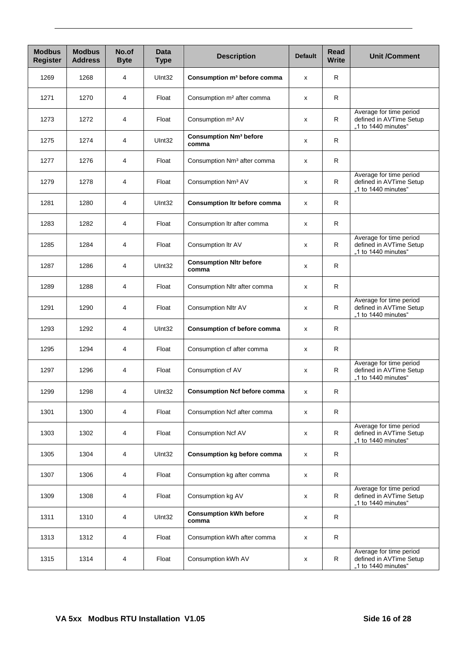| <b>Modbus</b><br><b>Register</b> | <b>Modbus</b><br><b>Address</b> | No.of<br><b>Byte</b> | <b>Data</b><br><b>Type</b> | <b>Description</b>                                | <b>Default</b> | Read<br><b>Write</b> | <b>Unit /Comment</b>                                                      |
|----------------------------------|---------------------------------|----------------------|----------------------------|---------------------------------------------------|----------------|----------------------|---------------------------------------------------------------------------|
| 1269                             | 1268                            | 4                    | UInt32                     | Consumption m <sup>3</sup> before comma           | x              | R.                   |                                                                           |
| 1271                             | 1270                            | 4                    | Float                      | Consumption m <sup>2</sup> after comma            | R<br>х         |                      |                                                                           |
| 1273                             | 1272                            | 4                    | Float                      | Consumption m <sup>3</sup> AV                     | х              | R                    | Average for time period<br>defined in AVTime Setup<br>"1 to 1440 minutes" |
| 1275                             | 1274                            | 4                    | UInt32                     | <b>Consumption Nm<sup>3</sup> before</b><br>comma | х              | R.                   |                                                                           |
| 1277                             | 1276                            | 4                    | Float                      | Consumption Nm <sup>3</sup> after comma           | x              | R                    |                                                                           |
| 1279                             | 1278                            | 4                    | Float                      | Consumption Nm <sup>3</sup> AV                    | x              | R                    | Average for time period<br>defined in AVTime Setup<br>"1 to 1440 minutes" |
| 1281                             | 1280                            | 4                    | UInt32                     | <b>Consumption Itr before comma</b>               | x              | R                    |                                                                           |
| 1283                             | 1282                            | 4                    | Float                      | Consumption Itr after comma                       | х              | R.                   |                                                                           |
| 1285                             | 1284                            | 4                    | Float                      | Consumption Itr AV                                | х              | R                    | Average for time period<br>defined in AVTime Setup<br>"1 to 1440 minutes" |
| 1287                             | 1286                            | 4                    | UInt32                     | <b>Consumption Nltr before</b><br>comma           | х              | R.                   |                                                                           |
| 1289                             | 1288                            | 4                    | Float                      | Consumption Nitr after comma                      | x              | R                    |                                                                           |
| 1291                             | 1290                            | 4                    | Float                      | Consumption Nltr AV                               | х              | R                    | Average for time period<br>defined in AVTime Setup<br>"1 to 1440 minutes" |
| 1293                             | 1292                            | 4                    | UInt32                     | <b>Consumption cf before comma</b>                | x              | R                    |                                                                           |
| 1295                             | 1294                            | 4                    | Float                      | Consumption cf after comma                        | x              | R                    |                                                                           |
| 1297                             | 1296                            | 4                    | Float                      | Consumption cf AV                                 | х              | R                    | Average for time period<br>defined in AVTime Setup<br>"1 to 1440 minutes" |
| 1299                             | 1298                            | 4                    | UInt32                     | <b>Consumption Ncf before comma</b>               | х              | R                    |                                                                           |
| 1301                             | 1300                            | 4                    | Float                      | Consumption Ncf after comma                       | X              | R                    |                                                                           |
| 1303                             | 1302                            | 4                    | Float                      | Consumption Ncf AV                                | X              | R                    | Average for time period<br>defined in AVTime Setup<br>"1 to 1440 minutes" |
| 1305                             | 1304                            | 4                    | UInt32                     | Consumption kg before comma                       | х              | R                    |                                                                           |
| 1307                             | 1306                            | 4                    | Float                      | Consumption kg after comma                        | X              | R                    |                                                                           |
| 1309                             | 1308                            | 4                    | Float                      | Consumption kg AV                                 | x              | R                    | Average for time period<br>defined in AVTime Setup<br>"1 to 1440 minutes" |
| 1311                             | 1310                            | 4                    | UInt32                     | <b>Consumption kWh before</b><br>comma            | x              | R                    |                                                                           |
| 1313                             | 1312                            | 4                    | Float                      | Consumption kWh after comma                       | x              | R                    |                                                                           |
| 1315                             | 1314                            | 4                    | Float                      | Consumption kWh AV                                | х              | R                    | Average for time period<br>defined in AVTime Setup<br>"1 to 1440 minutes" |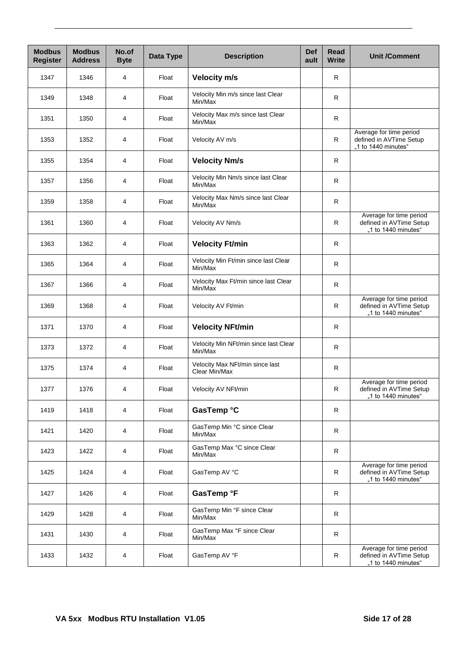| <b>Modbus</b><br><b>Register</b> | <b>Modbus</b><br><b>Address</b> | No.of<br><b>Byte</b> | Data Type | <b>Def</b><br><b>Description</b><br>ault         |   | Read<br><b>Write</b> | <b>Unit /Comment</b>                                                      |
|----------------------------------|---------------------------------|----------------------|-----------|--------------------------------------------------|---|----------------------|---------------------------------------------------------------------------|
| 1347                             | 1346                            | 4                    | Float     | <b>Velocity m/s</b>                              |   | $\mathsf{R}$         |                                                                           |
| 1349                             | 1348                            | 4                    | Float     | Velocity Min m/s since last Clear<br>Min/Max     |   | $\mathsf{R}$         |                                                                           |
| 1351                             | 1350                            | 4                    | Float     | Velocity Max m/s since last Clear<br>Min/Max     |   | $\mathsf{R}$         |                                                                           |
| 1353                             | 1352                            | 4                    | Float     | Velocity AV m/s                                  |   |                      | Average for time period<br>defined in AVTime Setup<br>"1 to 1440 minutes" |
| 1355                             | 1354                            | 4                    | Float     | <b>Velocity Nm/s</b>                             |   | $\mathsf R$          |                                                                           |
| 1357                             | 1356                            | 4                    | Float     | Velocity Min Nm/s since last Clear<br>Min/Max    |   | $\mathsf{R}$         |                                                                           |
| 1359                             | 1358                            | 4                    | Float     | Velocity Max Nm/s since last Clear<br>Min/Max    | R |                      |                                                                           |
| 1361                             | 1360                            | 4                    | Float     | Velocity AV Nm/s                                 |   | $\mathsf R$          | Average for time period<br>defined in AVTime Setup<br>"1 to 1440 minutes" |
| 1363                             | 1362                            | 4                    | Float     | <b>Velocity Ft/min</b>                           |   | R                    |                                                                           |
| 1365                             | 1364                            | 4                    | Float     | Velocity Min Ft/min since last Clear<br>Min/Max  |   | $\mathsf{R}$         |                                                                           |
| 1367                             | 1366                            | 4                    | Float     | Velocity Max Ft/min since last Clear<br>Min/Max  |   | $\mathsf{R}$         |                                                                           |
| 1369                             | 1368                            | 4                    | Float     | Velocity AV Ft/min                               | R |                      | Average for time period<br>defined in AVTime Setup<br>"1 to 1440 minutes" |
| 1371                             | 1370                            | 4                    | Float     | <b>Velocity NFt/min</b>                          |   | R                    |                                                                           |
| 1373                             | 1372                            | 4                    | Float     | Velocity Min NFt/min since last Clear<br>Min/Max |   | $\mathsf{R}$         |                                                                           |
| 1375                             | 1374                            | 4                    | Float     | Velocity Max NFt/min since last<br>Clear Min/Max |   | $\mathsf{R}$         |                                                                           |
| 1377                             | 1376                            | 4                    | Float     | Velocity AV NFt/min                              |   | R                    | Average for time period<br>defined in AVTime Setup<br>"1 to 1440 minutes" |
| 1419                             | 1418                            | 4                    | Float     | GasTemp °C                                       |   | R                    |                                                                           |
| 1421                             | 1420                            | 4                    | Float     | GasTemp Min °C since Clear<br>Min/Max            |   | $\mathsf{R}$         |                                                                           |
| 1423                             | 1422                            | 4                    | Float     | GasTemp Max °C since Clear<br>Min/Max            |   | ${\sf R}$            |                                                                           |
| 1425                             | 1424                            | 4                    | Float     | GasTemp AV °C                                    |   | R                    | Average for time period<br>defined in AVTime Setup<br>"1 to 1440 minutes" |
| 1427                             | 1426                            | 4                    | Float     | GasTemp °F                                       |   | R                    |                                                                           |
| 1429                             | 1428                            | 4                    | Float     | GasTemp Min °F since Clear<br>Min/Max            |   | $\mathsf R$          |                                                                           |
| 1431                             | 1430                            | 4                    | Float     | GasTemp Max °F since Clear<br>Min/Max            |   | $\mathsf{R}$         |                                                                           |
| 1433                             | 1432                            | 4                    | Float     | GasTemp AV °F                                    |   | R                    | Average for time period<br>defined in AVTime Setup<br>"1 to 1440 minutes" |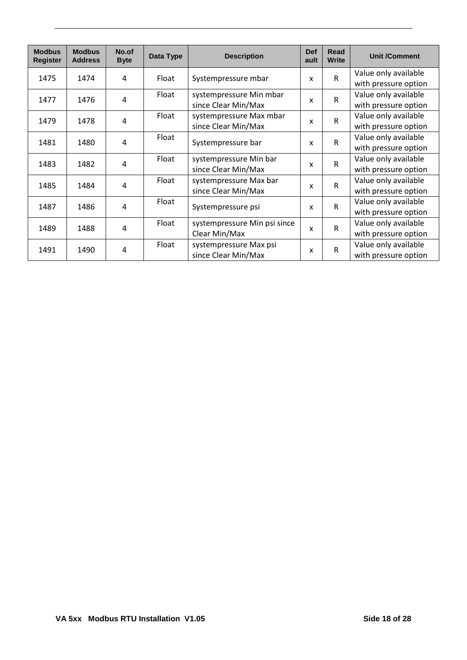| <b>Modbus</b><br><b>Register</b> | <b>Modbus</b><br><b>Address</b> | No.of<br><b>Byte</b> | Data Type | <b>Description</b>                             | <b>Def</b><br>ault        | <b>Read</b><br><b>Write</b> | <b>Unit /Comment</b>                         |
|----------------------------------|---------------------------------|----------------------|-----------|------------------------------------------------|---------------------------|-----------------------------|----------------------------------------------|
| 1475                             | 1474                            | 4                    | Float     | Systempressure mbar                            | X                         | $\mathsf{R}$                | Value only available<br>with pressure option |
| 1477                             | 1476                            | 4                    | Float     | systempressure Min mbar<br>since Clear Min/Max | X                         | $\mathsf{R}$                | Value only available<br>with pressure option |
| 1479                             | 1478                            | 4                    | Float     | systempressure Max mbar<br>since Clear Min/Max | x                         | $\mathsf R$                 | Value only available<br>with pressure option |
| 1481                             | 1480                            | 4                    | Float     | Systempressure bar                             | X                         | $\mathsf R$                 | Value only available<br>with pressure option |
| 1483                             | 1482                            | 4                    | Float     | systempressure Min bar<br>since Clear Min/Max  | $\boldsymbol{\mathsf{x}}$ | $\mathsf{R}$                | Value only available<br>with pressure option |
| 1485                             | 1484                            | 4                    | Float     | systempressure Max bar<br>since Clear Min/Max  | X                         | R                           | Value only available<br>with pressure option |
| 1487                             | 1486                            | 4                    | Float     | Systempressure psi                             | $\boldsymbol{\mathsf{x}}$ | $\mathsf{R}$                | Value only available<br>with pressure option |
| 1489                             | 1488                            | 4                    | Float     | systempressure Min psi since<br>Clear Min/Max  | X                         | $\mathsf{R}$                | Value only available<br>with pressure option |
| 1491                             | 1490                            | 4                    | Float     | systempressure Max psi<br>since Clear Min/Max  | X                         | $\mathsf R$                 | Value only available<br>with pressure option |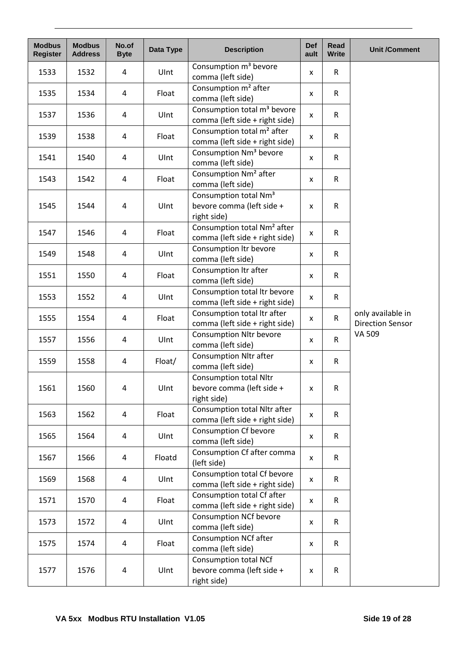| <b>Modbus</b><br><b>Register</b> | <b>Modbus</b><br><b>Address</b> | No.of<br><b>Byte</b> | Data Type | <b>Description</b>                                                            | <b>Def</b><br>ault | Read<br><b>Write</b> | <b>Unit /Comment</b>                         |
|----------------------------------|---------------------------------|----------------------|-----------|-------------------------------------------------------------------------------|--------------------|----------------------|----------------------------------------------|
| 1533                             | 1532                            | 4                    | UInt      | Consumption m <sup>3</sup> bevore<br>comma (left side)                        | x                  | $\mathsf{R}$         |                                              |
| 1535                             | 1534                            | 4                    | Float     | Consumption m <sup>2</sup> after<br>comma (left side)                         | X                  | $\mathsf{R}$         |                                              |
| 1537                             | 1536                            | 4                    | UInt      | Consumption total m <sup>3</sup> bevore<br>comma (left side + right side)     | x                  | $\mathsf{R}$         |                                              |
| 1539                             | 1538                            | 4                    | Float     | Consumption total m <sup>2</sup> after<br>comma (left side + right side)      | X                  | $\mathsf{R}$         |                                              |
| 1541                             | 1540                            | 4                    | UInt      | Consumption Nm <sup>3</sup> bevore<br>comma (left side)                       | $\pmb{\mathsf{X}}$ | $\mathsf R$          |                                              |
| 1543                             | 1542                            | 4                    | Float     | Consumption Nm <sup>2</sup> after<br>comma (left side)                        | X                  | $\mathsf{R}$         |                                              |
| 1545                             | 1544                            | 4                    | UInt      | Consumption total Nm <sup>3</sup><br>bevore comma (left side +<br>right side) | X                  | $\mathsf{R}$         |                                              |
| 1547                             | 1546                            | 4                    | Float     | Consumption total Nm <sup>2</sup> after<br>comma (left side + right side)     | x                  | $\mathsf{R}$         |                                              |
| 1549                             | 1548                            | 4                    | UInt      | Consumption Itr bevore<br>comma (left side)                                   | X                  | $\mathsf{R}$         |                                              |
| 1551                             | 1550                            | 4                    | Float     | Consumption Itr after<br>comma (left side)                                    | X                  | R                    |                                              |
| 1553                             | 1552                            | 4                    | UInt      | Consumption total Itr bevore<br>comma (left side + right side)                | X                  | $\mathsf{R}$         |                                              |
| 1555                             | 1554                            | 4                    | Float     | Consumption total Itr after<br>comma (left side + right side)                 | X                  | $\mathsf{R}$         | only available in<br><b>Direction Sensor</b> |
| 1557                             | 1556                            | 4                    | UInt      | <b>Consumption Nltr bevore</b><br>comma (left side)                           | X                  | $\mathsf{R}$         | VA 509                                       |
| 1559                             | 1558                            | 4                    | Float/    | <b>Consumption Nltr after</b><br>comma (left side)                            | X                  | $\mathsf{R}$         |                                              |
| 1561                             | 1560                            | 4                    | Ulnt      | <b>Consumption total Nltr</b><br>bevore comma (left side +<br>right side)     | $\pmb{\mathsf{x}}$ | ${\sf R}$            |                                              |
| 1563                             | 1562                            | 4                    | Float     | Consumption total Nltr after<br>comma (left side + right side)                | X                  | $\mathsf{R}$         |                                              |
| 1565                             | 1564                            | 4                    | UInt      | <b>Consumption Cf bevore</b><br>comma (left side)                             | x                  | $\mathsf{R}$         |                                              |
| 1567                             | 1566                            | 4                    | Floatd    | Consumption Cf after comma<br>(left side)                                     | X                  | R                    |                                              |
| 1569                             | 1568                            | 4                    | UInt      | Consumption total Cf bevore<br>comma (left side + right side)                 | X                  | $\mathsf{R}$         |                                              |
| 1571                             | 1570                            | 4                    | Float     | Consumption total Cf after<br>comma (left side + right side)                  | X                  | $\mathsf{R}$         |                                              |
| 1573                             | 1572                            | 4                    | Ulnt      | <b>Consumption NCf bevore</b><br>comma (left side)                            | X                  | R                    |                                              |
| 1575                             | 1574                            | 4                    | Float     | <b>Consumption NCf after</b><br>comma (left side)                             | X                  | $\mathsf{R}$         |                                              |
| 1577                             | 1576                            | 4                    | UInt      | Consumption total NCf<br>bevore comma (left side +<br>right side)             | X                  | $\mathsf{R}$         |                                              |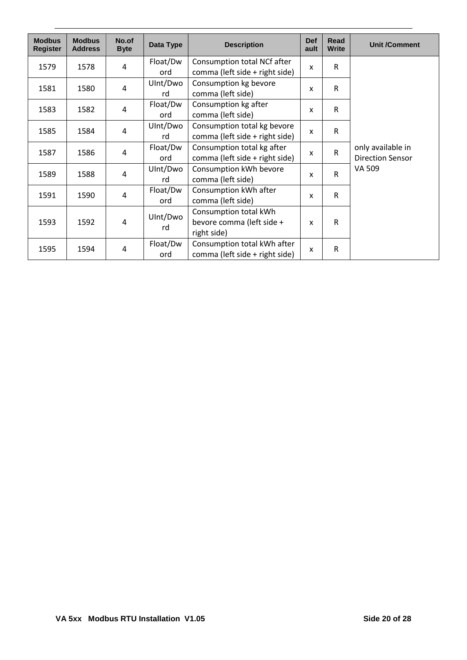| <b>Modbus</b><br><b>Register</b> | <b>Modbus</b><br><b>Address</b> | No.of<br><b>Byte</b> | Data Type       | <b>Description</b>                                                | <b>Def</b><br>ault        | Read<br><b>Write</b> | <b>Unit /Comment</b>                         |
|----------------------------------|---------------------------------|----------------------|-----------------|-------------------------------------------------------------------|---------------------------|----------------------|----------------------------------------------|
| 1579                             | 1578                            | 4                    | Float/Dw<br>ord | Consumption total NCf after<br>comma (left side + right side)     | X                         | R                    |                                              |
| 1581                             | 1580                            | 4                    | UInt/Dwo<br>rd  | Consumption kg bevore<br>comma (left side)                        | X                         | R                    |                                              |
| 1583                             | 1582                            | 4                    | Float/Dw<br>ord | Consumption kg after<br>comma (left side)                         | X                         | R                    |                                              |
| 1585                             | 1584                            | 4                    | UInt/Dwo<br>rd  | Consumption total kg bevore<br>comma (left side + right side)     | X                         | R                    |                                              |
| 1587                             | 1586                            | 4                    | Float/Dw<br>ord | Consumption total kg after<br>comma (left side + right side)      | X                         | R                    | only available in<br><b>Direction Sensor</b> |
| 1589                             | 1588                            | 4                    | UInt/Dwo<br>rd  | Consumption kWh bevore<br>comma (left side)                       | X                         | R                    | VA 509                                       |
| 1591                             | 1590                            | 4                    | Float/Dw<br>ord | Consumption kWh after<br>comma (left side)                        | $\boldsymbol{\mathsf{x}}$ | R.                   |                                              |
| 1593                             | 1592                            | 4                    | UInt/Dwo<br>rd  | Consumption total kWh<br>bevore comma (left side +<br>right side) | $\boldsymbol{\mathsf{x}}$ | R                    |                                              |
| 1595                             | 1594                            | 4                    | Float/Dw<br>ord | Consumption total kWh after<br>comma (left side + right side)     | X                         | R                    |                                              |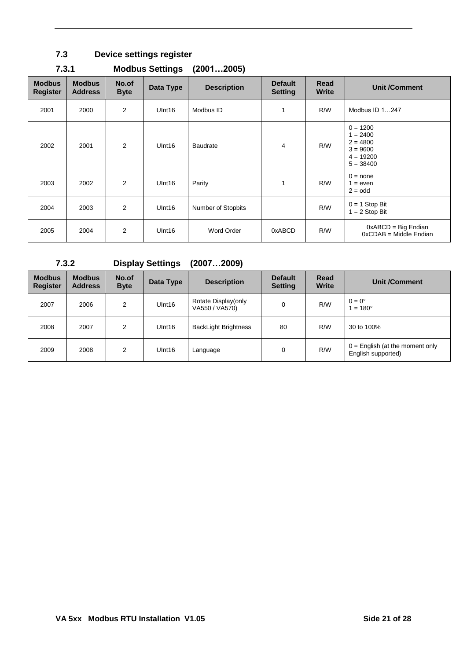### <span id="page-20-0"></span>**7.3 Device settings register**

| <b>Modbus</b><br><b>Register</b> | <b>Modbus</b><br><b>Address</b> | No.of<br><b>Byte</b> | Data Type          | <b>Description</b> | <b>Default</b><br><b>Setting</b> | Read<br><b>Write</b> | <b>Unit /Comment</b>                                                               |
|----------------------------------|---------------------------------|----------------------|--------------------|--------------------|----------------------------------|----------------------|------------------------------------------------------------------------------------|
| 2001                             | 2000                            | 2                    | UInt16             | Modbus ID          | 1                                | R/W                  | Modbus ID 1247                                                                     |
| 2002                             | 2001                            | 2                    | UInt16             | <b>Baudrate</b>    | $\overline{4}$                   | R/W                  | $0 = 1200$<br>$1 = 2400$<br>$2 = 4800$<br>$3 = 9600$<br>$4 = 19200$<br>$5 = 38400$ |
| 2003                             | 2002                            | $\overline{2}$       | Ulnt <sub>16</sub> | Parity             | 1                                | R/W                  | $0 = none$<br>$1 = even$<br>$2 = odd$                                              |
| 2004                             | 2003                            | $\overline{2}$       | UInt16             | Number of Stopbits |                                  | R/W                  | $0 = 1$ Stop Bit<br>$1 = 2$ Stop Bit                                               |
| 2005                             | 2004                            | $\overline{2}$       | Ulnt <sub>16</sub> | Word Order         | 0xABCD                           | R/W                  | $0xABCD = Big Endian$<br>$0xCDAB = Middle Endian$                                  |

### <span id="page-20-1"></span>**7.3.1 Modbus Settings (2001…2005)**

<span id="page-20-2"></span>**7.3.2 Display Settings (2007…2009) Modbus Register Modbus Address No.of Data Type Description Default Setting Read Unit /Comment** 2007 | 2006 | 2 | UInt16 | Rotate Display(only | 0 | R/W | 0 = 0°<br>VA550 / VA570) | 0 | R/W | 1 = 18  $1 = 180^\circ$ 2008 | 2007 | 2 | UInt16 | BackLight Brightness | 80 | R/W | 30 to 100% 2009 | 2008 | 2 | UInt16 | Language | 0 | R/W | 0 = English (at the moment only | 0 = English (at the moment only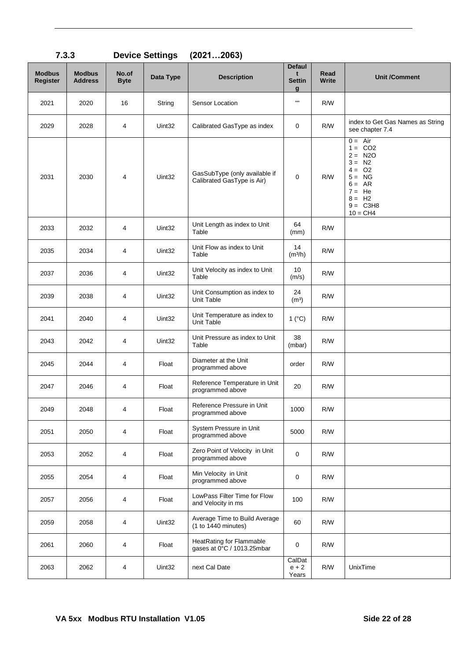| <b>Modbus</b><br><b>Register</b> | <b>Modbus</b><br><b>Address</b> | No.of<br><b>Byte</b> | Data Type | <b>Description</b>                                          | <b>Defaul</b><br>t<br><b>Settin</b><br>$\mathbf{g}$ | Read<br>Write | <b>Unit /Comment</b>                                                                                                                    |
|----------------------------------|---------------------------------|----------------------|-----------|-------------------------------------------------------------|-----------------------------------------------------|---------------|-----------------------------------------------------------------------------------------------------------------------------------------|
| 2021                             | 2020                            | 16                   | String    | Sensor Location                                             | $\mathbf{H}$                                        | R/W           |                                                                                                                                         |
| 2029                             | 2028                            | 4                    | Uint32    | Calibrated GasType as index                                 | 0                                                   | R/W           | index to Get Gas Names as String<br>see chapter 7.4                                                                                     |
| 2031                             | 2030                            | 4                    | Uint32    | GasSubType (only available if<br>Calibrated GasType is Air) | 0                                                   | R/W           | $0 = Air$<br>$1 = CO2$<br>$2 = N20$<br>$3 = N2$<br>$4 = 02$<br>$5 = NG$<br>$6 = AR$<br>$7 = He$<br>$8 = H2$<br>$9 = C3H8$<br>$10 = CH4$ |
| 2033                             | 2032                            | 4                    | Uint32    | Unit Length as index to Unit<br>Table                       | 64<br>(mm)                                          | R/W           |                                                                                                                                         |
| 2035                             | 2034                            | 4                    | Uint32    | Unit Flow as index to Unit<br>Table                         | 14<br>(m <sup>3</sup> /h)                           | R/W           |                                                                                                                                         |
| 2037                             | 2036                            | 4                    | Uint32    | Unit Velocity as index to Unit<br>Table                     | 10<br>(m/s)                                         | R/W           |                                                                                                                                         |
| 2039                             | 2038                            | 4                    | Uint32    | Unit Consumption as index to<br><b>Unit Table</b>           | 24<br>(m <sup>3</sup> )                             | R/W           |                                                                                                                                         |
| 2041                             | 2040                            | 4                    | Uint32    | Unit Temperature as index to<br>Unit Table                  | 1 (°C)                                              | R/W           |                                                                                                                                         |
| 2043                             | 2042                            | 4                    | Uint32    | Unit Pressure as index to Unit<br>Table                     | 38<br>(mbar)                                        | R/W           |                                                                                                                                         |
| 2045                             | 2044                            | 4                    | Float     | Diameter at the Unit<br>programmed above                    | order                                               | R/W           |                                                                                                                                         |
| 2047                             | 2046                            | 4                    | Float     | Reference Temperature in Unit<br>programmed above           | 20                                                  | R/W           |                                                                                                                                         |
| 2049                             | 2048                            | 4                    | Float     | Reference Pressure in Unit<br>programmed above              | 1000                                                | R/W           |                                                                                                                                         |
| 2051                             | 2050                            | 4                    | Float     | System Pressure in Unit<br>programmed above                 | 5000                                                | R/W           |                                                                                                                                         |
| 2053                             | 2052                            | 4                    | Float     | Zero Point of Velocity in Unit<br>programmed above          | $\mathbf 0$                                         | R/W           |                                                                                                                                         |
| 2055                             | 2054                            | 4                    | Float     | Min Velocity in Unit<br>programmed above                    | $\mathbf 0$                                         | R/W           |                                                                                                                                         |
| 2057                             | 2056                            | 4                    | Float     | LowPass Filter Time for Flow<br>and Velocity in ms          | 100                                                 | R/W           |                                                                                                                                         |
| 2059                             | 2058                            | 4                    | Uint32    | Average Time to Build Average<br>(1 to 1440 minutes)        | 60                                                  | R/W           |                                                                                                                                         |
| 2061                             | 2060                            | 4                    | Float     | HeatRating for Flammable<br>gases at 0°C / 1013.25mbar      | 0                                                   | R/W           |                                                                                                                                         |
| 2063                             | 2062                            | 4                    | Uint32    | next Cal Date                                               | CalDat<br>$e + 2$<br>Years                          | R/W           | UnixTime                                                                                                                                |

### <span id="page-21-0"></span>**7.3.3 Device Settings (2021…2063)**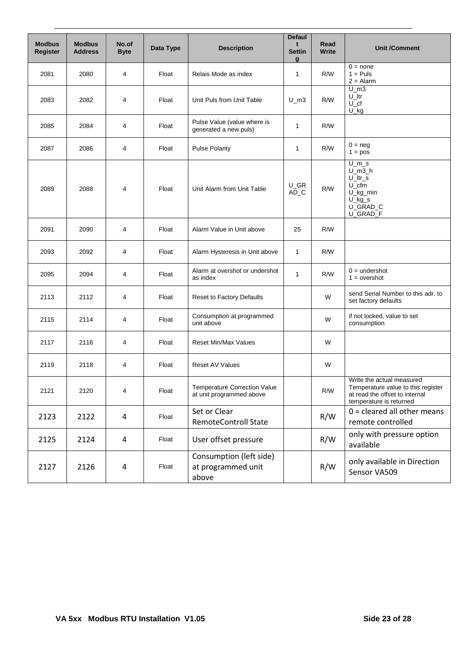| <b>Modbus</b><br>Register | <b>Modbus</b><br><b>Address</b> | No.of<br><b>Byte</b> | Data Type | <b>Description</b>                                              | <b>Defaul</b><br>t<br><b>Settin</b><br>$\mathbf{q}$ | Read<br><b>Write</b> | <b>Unit /Comment</b>                                                                                                         |
|---------------------------|---------------------------------|----------------------|-----------|-----------------------------------------------------------------|-----------------------------------------------------|----------------------|------------------------------------------------------------------------------------------------------------------------------|
| 2081                      | 2080                            | 4                    | Float     | Relais Mode as index                                            | 1                                                   | R/W                  | $0 = none$<br>$1 = Puls$<br>$2 =$ Alarm                                                                                      |
| 2083                      | 2082                            | 4                    | Float     | Unit Puls from Unit Table                                       | $U_{m3}$                                            | R/W                  | $U$ m3<br>$U$ _ltr<br>$U_{\mathcal{L}}$ cf<br>$U_k$                                                                          |
| 2085                      | 2084                            | 4                    | Float     | Pulse Value (value where is<br>generated a new puls)            | 1                                                   | R/W                  |                                                                                                                              |
| 2087                      | 2086                            | $\overline{4}$       | Float     | <b>Pulse Polarity</b>                                           | 1                                                   | R/W                  | $0 = neg$<br>$1 = pos$                                                                                                       |
| 2089                      | 2088                            | 4                    | Float     | Unit Alarm from Unit Table                                      | U GR<br>$AD\_C$                                     | R/W                  | $U_m s$<br>$U$ m3 h<br>$U$ _ltr_s<br>$U_c$ cfm<br>U_kg_min<br>$U_kg_s$<br>U_GRAD_C<br>U_GRAD_F                               |
| 2091                      | 2090                            | 4                    | Float     | Alarm Value in Unit above                                       | 25                                                  | R/W                  |                                                                                                                              |
| 2093                      | 2092                            | 4                    | Float     | Alarm Hysteresis in Unit above                                  | $\mathbf{1}$                                        | R/W                  |                                                                                                                              |
| 2095                      | 2094                            | 4                    | Float     | Alarm at overshot or undershot<br>as index                      | 1                                                   | R/W                  | $0 =$ undershot<br>$1 = overshot$                                                                                            |
| 2113                      | 2112                            | 4                    | Float     | Reset to Factory Defaults                                       |                                                     | W                    | send Serial Number to this adr. to<br>set factory defaults                                                                   |
| 2115                      | 2114                            | 4                    | Float     | Consumption at programmed<br>unit above                         |                                                     | W                    | if not locked, value to set<br>consumption                                                                                   |
| 2117                      | 2116                            | 4                    | Float     | <b>Reset Min/Max Values</b>                                     |                                                     | W                    |                                                                                                                              |
| 2119                      | 2118                            | $\overline{4}$       | Float     | <b>Reset AV Values</b>                                          |                                                     | W                    |                                                                                                                              |
| 2121                      | 2120                            | 4                    | Float     | <b>Temperature Correction Value</b><br>at unit programmed above |                                                     | R/W                  | Write the actual measured<br>Temperature value to this register<br>at read the offset to internal<br>temperature is returned |
| 2123                      | 2122                            | $\overline{4}$       | Float     | Set or Clear<br><b>RemoteControll State</b>                     |                                                     | R/W                  | $0 =$ cleared all other means<br>remote controlled                                                                           |
| 2125                      | 2124                            | 4                    | Float     | User offset pressure                                            |                                                     | R/W                  | only with pressure option<br>available                                                                                       |
| 2127                      | 2126                            | $\overline{4}$       | Float     | Consumption (left side)<br>at programmed unit<br>above          |                                                     | R/W                  | only available in Direction<br>Sensor VA509                                                                                  |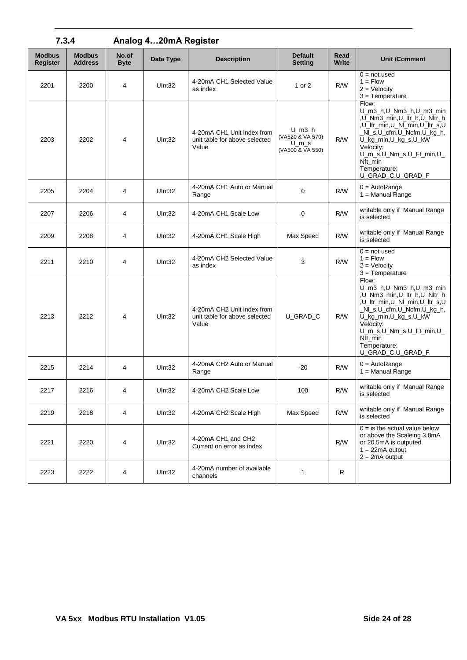| 7.3.4                            |                                 |                      | Analog 420mA Register |                                                                      |                                                                  |               |                                                                                                                                                                                                                                                 |
|----------------------------------|---------------------------------|----------------------|-----------------------|----------------------------------------------------------------------|------------------------------------------------------------------|---------------|-------------------------------------------------------------------------------------------------------------------------------------------------------------------------------------------------------------------------------------------------|
| <b>Modbus</b><br><b>Register</b> | <b>Modbus</b><br><b>Address</b> | No.of<br><b>Byte</b> | Data Type             | <b>Description</b>                                                   | <b>Default</b><br><b>Setting</b>                                 | Read<br>Write | <b>Unit /Comment</b>                                                                                                                                                                                                                            |
| 2201                             | 2200                            | $\overline{4}$       | Ulnt <sub>32</sub>    | 4-20mA CH1 Selected Value<br>as index                                | 1 or 2                                                           | R/W           | $0 = not used$<br>$1 =$ Flow<br>$2 =$ Velocity<br>$3 = Temperature$                                                                                                                                                                             |
| 2203                             | 2202                            | $\overline{4}$       | UInt32                | 4-20mA CH1 Unit index from<br>unit table for above selected<br>Value | $U$ m $3$ h<br>(VA520 & VA 570)<br>$U_{m_s}$<br>(VA500 & VA 550) | R/W           | Flow:<br>U_m3_h,U_Nm3_h,U_m3_min<br>,U_Nm3_min,U_ltr_h,U_Nltr_h<br>,U_ltr_min,U_Nl_min,U_ltr_s,U<br>_NI_s,U_cfm,U_Ncfm,U_kg_h,<br>U_kg_min,U_kg_s,U_kW<br>Velocity:<br>U_m_s,U_Nm_s,U_Ft_min,U_<br>Nft min<br>Temperature:<br>U_GRAD_C,U_GRAD_F |
| 2205                             | 2204                            | 4                    | Ulnt32                | 4-20mA CH1 Auto or Manual<br>Range                                   | $\mathbf 0$                                                      | R/W           | $0 = AutoRange$<br>$1 =$ Manual Range                                                                                                                                                                                                           |
| 2207                             | 2206                            | 4                    | Ulnt32                | 4-20mA CH1 Scale Low                                                 | 0                                                                | R/W           | writable only if Manual Range<br>is selected                                                                                                                                                                                                    |
| 2209                             | 2208                            | 4                    | Ulnt32                | 4-20mA CH1 Scale High                                                | Max Speed                                                        | R/W           | writable only if Manual Range<br>is selected                                                                                                                                                                                                    |
| 2211                             | 2210                            | 4                    | UInt32                | 4-20mA CH2 Selected Value<br>as index                                | 3                                                                | R/W           | $0 = not used$<br>$1 =$ Flow<br>$2 =$ Velocity<br>$3 = Temperature$                                                                                                                                                                             |
| 2213                             | 2212                            | $\overline{4}$       | UInt32                | 4-20mA CH2 Unit index from<br>unit table for above selected<br>Value | U GRAD C                                                         | R/W           | Flow:<br>U_m3_h,U_Nm3_h,U_m3_min<br>,U_Nm3_min,U_ltr_h,U_Nltr_h<br>,U_ltr_min,U_Nl_min,U_ltr_s,U<br>_NI_s,U_cfm,U_Ncfm,U_kg_h,<br>U_kg_min,U_kg_s,U_kW<br>Velocity:<br>U_m_s,U_Nm_s,U_Ft_min,U_<br>Nft_min<br>Temperature:<br>U_GRAD_C,U_GRAD_F |
| 2215                             | 2214                            | $\overline{4}$       | Ulnt32                | 4-20mA CH2 Auto or Manual<br>Range                                   | $-20$                                                            | R/W           | $0 = AutoRange$<br>$1 =$ Manual Range                                                                                                                                                                                                           |
| 2217                             | 2216                            | $\overline{4}$       | UInt32                | 4-20mA CH2 Scale Low                                                 | 100                                                              | R/W           | writable only if Manual Range<br>is selected                                                                                                                                                                                                    |
| 2219                             | 2218                            | 4                    | UInt32                | 4-20mA CH2 Scale High                                                | Max Speed                                                        | R/W           | writable only if Manual Range<br>is selected                                                                                                                                                                                                    |
| 2221                             | 2220                            | 4                    | UInt32                | 4-20mA CH1 and CH2<br>Current on error as index                      |                                                                  | R/W           | $0 =$ is the actual value below<br>or above the Scaleing 3.8mA<br>or 20.5mA is outputed<br>$1 = 22mA$ output<br>$2 = 2mA$ output                                                                                                                |
| 2223                             | 2222                            | 4                    | UInt32                | 4-20mA number of available<br>channels                               | 1                                                                | R             |                                                                                                                                                                                                                                                 |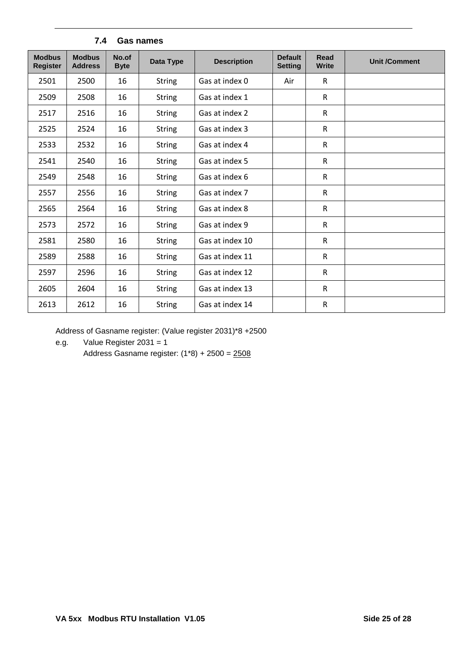<span id="page-24-0"></span>

| <b>Modbus</b><br><b>Register</b> | <b>Modbus</b><br><b>Address</b> | No.of<br><b>Byte</b> | Data Type     | <b>Description</b> | <b>Default</b><br><b>Setting</b> | <b>Read</b><br><b>Write</b> | <b>Unit /Comment</b> |
|----------------------------------|---------------------------------|----------------------|---------------|--------------------|----------------------------------|-----------------------------|----------------------|
| 2501                             | 2500                            | 16                   | <b>String</b> | Gas at index 0     | Air                              | $\mathsf{R}$                |                      |
| 2509                             | 2508                            | 16                   | <b>String</b> | Gas at index 1     |                                  | $\mathsf{R}$                |                      |
| 2517                             | 2516                            | 16                   | <b>String</b> | Gas at index 2     |                                  | $\mathsf{R}$                |                      |
| 2525                             | 2524                            | 16                   | <b>String</b> | Gas at index 3     |                                  | ${\sf R}$                   |                      |
| 2533                             | 2532                            | 16                   | <b>String</b> | Gas at index 4     |                                  | $\mathsf{R}$                |                      |
| 2541                             | 2540                            | 16                   | <b>String</b> | Gas at index 5     |                                  | $\mathsf{R}$                |                      |
| 2549                             | 2548                            | 16                   | <b>String</b> | Gas at index 6     |                                  | ${\sf R}$                   |                      |
| 2557                             | 2556                            | 16                   | <b>String</b> | Gas at index 7     |                                  | $\mathsf R$                 |                      |
| 2565                             | 2564                            | 16                   | <b>String</b> | Gas at index 8     |                                  | $\mathsf{R}$                |                      |
| 2573                             | 2572                            | 16                   | <b>String</b> | Gas at index 9     |                                  | R                           |                      |
| 2581                             | 2580                            | 16                   | <b>String</b> | Gas at index 10    |                                  | $\mathsf{R}$                |                      |
| 2589                             | 2588                            | 16                   | <b>String</b> | Gas at index 11    |                                  | $\mathsf R$                 |                      |
| 2597                             | 2596                            | 16                   | <b>String</b> | Gas at index 12    |                                  | R                           |                      |
| 2605                             | 2604                            | 16                   | <b>String</b> | Gas at index 13    |                                  | $\mathsf{R}$                |                      |
| 2613                             | 2612                            | 16                   | <b>String</b> | Gas at index 14    |                                  | $\mathsf R$                 |                      |

#### **7.4 Gas names**

Address of Gasname register: (Value register 2031)\*8 +2500

e.g. Value Register 2031 = 1

Address Gasname register:  $(1*8) + 2500 = 2508$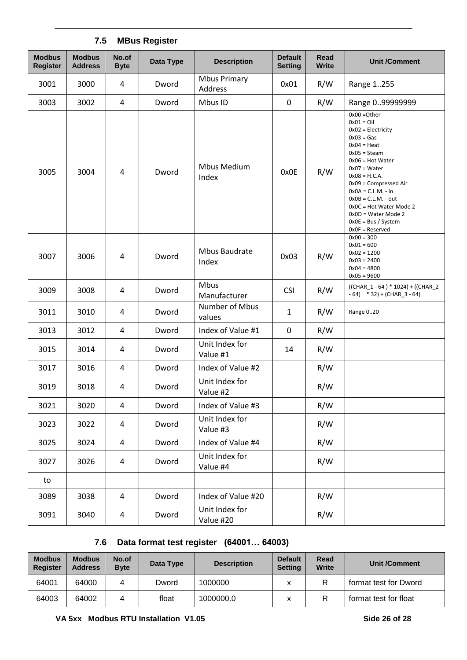### **7.5 MBus Register**

<span id="page-25-0"></span>

| <b>Modbus</b><br><b>Register</b> | <b>Modbus</b><br><b>Address</b> | No.of<br><b>Byte</b> | Data Type | <b>Description</b>             | <b>Default</b><br><b>Setting</b> | Read<br><b>Write</b> | <b>Unit /Comment</b>                                                                                                                                                                                                                                                                                                                                |
|----------------------------------|---------------------------------|----------------------|-----------|--------------------------------|----------------------------------|----------------------|-----------------------------------------------------------------------------------------------------------------------------------------------------------------------------------------------------------------------------------------------------------------------------------------------------------------------------------------------------|
| 3001                             | 3000                            | 4                    | Dword     | <b>Mbus Primary</b><br>Address | 0x01                             | R/W                  | Range 1255                                                                                                                                                                                                                                                                                                                                          |
| 3003                             | 3002                            | 4                    | Dword     | Mbus ID                        | $\mathbf 0$                      | R/W                  | Range 099999999                                                                                                                                                                                                                                                                                                                                     |
| 3005                             | 3004                            | 4                    | Dword     | Mbus Medium<br>Index           | 0x0E                             | R/W                  | $0x00 = 0$ ther<br>$0x01 = Oil$<br>$0x02 = Electricity$<br>$0x03 = Gas$<br>$0x04 = Heat$<br>$0x05 = Steam$<br>$0x06$ = Hot Water<br>$0x07 = Water$<br>$0x08 = H.C.A.$<br>$0x09 = Compressed Air$<br>$0x0A = C.L.M. - in$<br>$0x0B = C.L.M. - out$<br>0x0C = Hot Water Mode 2<br>$0x0D = Water Mode$ 2<br>$0x0E = Bus / System$<br>$0x0F =$ Reserved |
| 3007                             | 3006                            | 4                    | Dword     | Mbus Baudrate<br>Index         | 0x03                             | R/W                  | $0x00 = 300$<br>$0x01 = 600$<br>$0x02 = 1200$<br>$0x03 = 2400$<br>$0x04 = 4800$<br>$0x05 = 9600$                                                                                                                                                                                                                                                    |
| 3009                             | 3008                            | 4                    | Dword     | Mbus<br>Manufacturer           | <b>CSI</b>                       | R/W                  | $((CHAR_1 - 64) * 1024) + ((CHAR_2$<br>$-64$ ) * 32) + (CHAR_3 - 64)                                                                                                                                                                                                                                                                                |
| 3011                             | 3010                            | 4                    | Dword     | Number of Mbus<br>values       | $\mathbf{1}$                     | R/W                  | Range 020                                                                                                                                                                                                                                                                                                                                           |
| 3013                             | 3012                            | 4                    | Dword     | Index of Value #1              | $\mathbf 0$                      | R/W                  |                                                                                                                                                                                                                                                                                                                                                     |
| 3015                             | 3014                            | 4                    | Dword     | Unit Index for<br>Value #1     | 14                               | R/W                  |                                                                                                                                                                                                                                                                                                                                                     |
| 3017                             | 3016                            | 4                    | Dword     | Index of Value #2              |                                  | R/W                  |                                                                                                                                                                                                                                                                                                                                                     |
| 3019                             | 3018                            | 4                    | Dword     | Unit Index for<br>Value #2     |                                  | R/W                  |                                                                                                                                                                                                                                                                                                                                                     |
| 3021                             | 3020                            | $\overline{4}$       | Dword     | Index of Value #3              |                                  | R/W                  |                                                                                                                                                                                                                                                                                                                                                     |
| 3023                             | 3022                            | 4                    | Dword     | Unit Index for<br>Value #3     |                                  | R/W                  |                                                                                                                                                                                                                                                                                                                                                     |
| 3025                             | 3024                            | $\overline{a}$       | Dword     | Index of Value #4              |                                  | R/W                  |                                                                                                                                                                                                                                                                                                                                                     |
| 3027                             | 3026                            | $\overline{a}$       | Dword     | Unit Index for<br>Value #4     |                                  | R/W                  |                                                                                                                                                                                                                                                                                                                                                     |
| to                               |                                 |                      |           |                                |                                  |                      |                                                                                                                                                                                                                                                                                                                                                     |
| 3089                             | 3038                            | 4                    | Dword     | Index of Value #20             |                                  | R/W                  |                                                                                                                                                                                                                                                                                                                                                     |
| 3091                             | 3040                            | 4                    | Dword     | Unit Index for<br>Value #20    |                                  | R/W                  |                                                                                                                                                                                                                                                                                                                                                     |

## **7.6 Data format test register (64001… 64003)**

<span id="page-25-1"></span>

| <b>Modbus</b><br><b>Register</b> | <b>Modbus</b><br><b>Address</b> | No.of<br><b>Byte</b> | Data Type | <b>Description</b> | <b>Default</b><br><b>Setting</b> | Read<br><b>Write</b> | <b>Unit /Comment</b>  |
|----------------------------------|---------------------------------|----------------------|-----------|--------------------|----------------------------------|----------------------|-----------------------|
| 64001                            | 64000                           | 4                    | Dword     | 1000000            |                                  |                      | format test for Dword |
| 64003                            | 64002                           |                      | float     | 1000000.0          |                                  |                      | format test for float |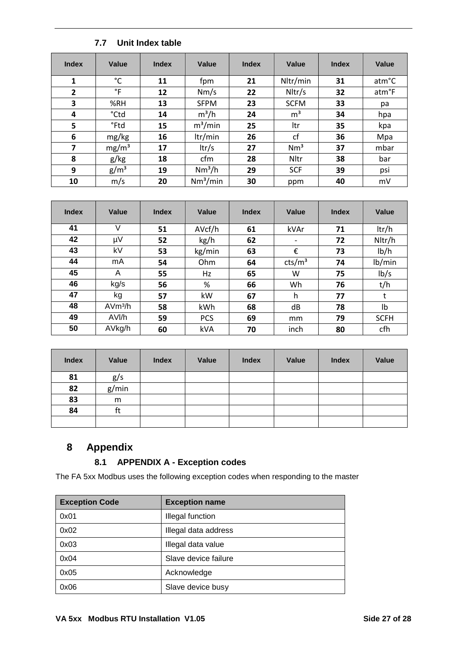### **7.7 Unit Index table**

<span id="page-26-0"></span>

| <b>Index</b>            | Value             | <b>Index</b> | Value<br><b>Index</b> |    | Value           | <b>Index</b> | Value |
|-------------------------|-------------------|--------------|-----------------------|----|-----------------|--------------|-------|
| 1                       | °C                | 11           | fpm                   | 21 | Nltr/min        | 31           | atm°C |
| $\overline{2}$          | $\degree$ F       | 12           | Nm/s                  | 22 | Nltr/s          | 32           | atm°F |
| 3                       | %RH               | 13           | <b>SFPM</b>           | 23 | <b>SCFM</b>     | 33           | pa    |
| 4                       | °Ctd              | 14           | $m^3/h$               | 24 | m <sup>3</sup>  | 34           | hpa   |
| 5                       | °Ftd              | 15           | $m^3/m$ in            | 25 | ltr             | 35           | kpa   |
| 6                       | mg/kg             | 16           | ltr/min               | 26 | cf              | 36           | Mpa   |
| $\overline{\mathbf{z}}$ | mg/m <sup>3</sup> | 17           | ltr/s                 | 27 | Nm <sup>3</sup> | 37           | mbar  |
| 8                       | g/kg              | 18           | cfm                   | 28 | Nltr            | 38           | bar   |
| 9                       | g/m <sup>3</sup>  | 19           | $Nm^3/h$              | 29 | <b>SCF</b>      | 39           | psi   |
| 10                      | m/s               | 20           | Nm <sup>3</sup> /min  | 30 | ppm             | 40           | mV    |

| <b>Index</b> | Value               | <b>Index</b> | Value      | <b>Index</b> | Value                    | <b>Index</b> | Value       |
|--------------|---------------------|--------------|------------|--------------|--------------------------|--------------|-------------|
| 41           | V                   | 51           | AVcf/h     | 61           | kVAr                     | 71           | ltr/h       |
| 42           | μV                  | 52           | kg/h       | 62           | $\overline{\phantom{a}}$ | 72           | Nltr/h      |
| 43           | kV                  | 53           | kg/min     | 63           | €                        | 73           | lb/h        |
| 44           | mA                  | 54           | Ohm        | 64           | cts/m <sup>3</sup>       | 74           | lb/min      |
| 45           | A                   | 55           | Hz         | 65           | W                        | 75           | lb/s        |
| 46           | kg/s                | 56           | %          | 66           | Wh                       | 76           | t/h         |
| 47           | kg                  | 57           | kW         | 67           | h                        | 77           | t           |
| 48           | AVm <sup>3</sup> /h | 58           | kWh        | 68           | dB                       | 78           | Ib          |
| 49           | AVI/h               | 59           | <b>PCS</b> | 69           | mm                       | 79           | <b>SCFH</b> |
| 50           | AVkg/h              | 60           | kVA        | 70           | inch                     | 80           | cfh         |

| <b>Index</b> | Value | Index | Value | <b>Index</b> | Value | <b>Index</b> | Value |
|--------------|-------|-------|-------|--------------|-------|--------------|-------|
| 81           | g/s   |       |       |              |       |              |       |
| 82           | g/min |       |       |              |       |              |       |
| 83           | m     |       |       |              |       |              |       |
| 84           | ft    |       |       |              |       |              |       |
|              |       |       |       |              |       |              |       |

## **Appendix**

### <span id="page-26-1"></span>**8.1 APPENDIX A - Exception codes**

<span id="page-26-2"></span>The FA 5xx Modbus uses the following exception codes when responding to the master

| <b>Exception Code</b> | <b>Exception name</b> |
|-----------------------|-----------------------|
| 0x01                  | Illegal function      |
| 0x02                  | Illegal data address  |
| 0x03                  | Illegal data value    |
| 0x04                  | Slave device failure  |
| 0x05                  | Acknowledge           |
| 0x06                  | Slave device busy     |